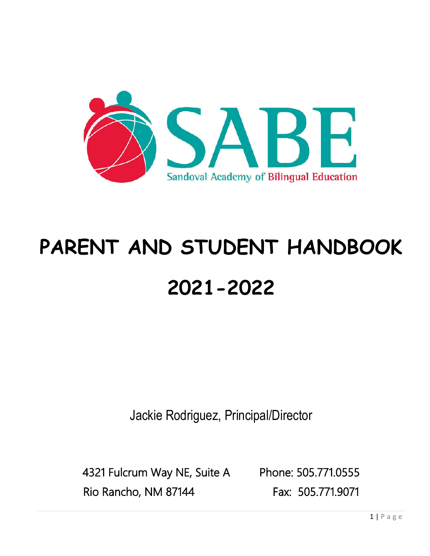

# **PARENT AND STUDENT HANDBOOK 2021-2022**

Jackie Rodriguez, Principal/Director

4321 Fulcrum Way NE, Suite A Phone: 505.771.0555 Rio Rancho, NM 87144 Fax: 505.771.9071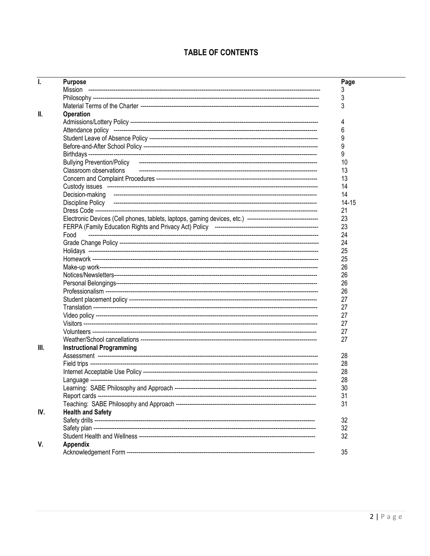# **TABLE OF CONTENTS**

| ı.  | <b>Purpose</b>                   | Page      |
|-----|----------------------------------|-----------|
|     |                                  | 3         |
|     |                                  | 3         |
|     |                                  | 3         |
| Ш.  | <b>Operation</b>                 |           |
|     |                                  | 4         |
|     |                                  | 6         |
|     |                                  | 9         |
|     |                                  | 9         |
|     |                                  | 9         |
|     |                                  | 10        |
|     | Classroom observations           | 13        |
|     |                                  | 13        |
|     |                                  | 14        |
|     |                                  | 14        |
|     |                                  | $14 - 15$ |
|     |                                  |           |
|     |                                  | 21        |
|     |                                  | 23        |
|     |                                  | 23        |
|     | Food                             | 24        |
|     |                                  | 24        |
|     |                                  | 25        |
|     |                                  | 25        |
|     |                                  | 26        |
|     |                                  | 26        |
|     |                                  | 26        |
|     |                                  | 26        |
|     |                                  | 27        |
|     |                                  | 27        |
|     |                                  | 27        |
|     |                                  | 27        |
|     |                                  | 27        |
|     |                                  | 27        |
| Ш.  | <b>Instructional Programming</b> |           |
|     |                                  | 28        |
|     |                                  | 28        |
|     |                                  | 28        |
|     |                                  | 28        |
|     |                                  | 30        |
|     |                                  | 31        |
|     |                                  | 31        |
| IV. | <b>Health and Safety</b>         |           |
|     |                                  | 32        |
|     |                                  | 32        |
|     |                                  | 32        |
| V.  | Appendix                         |           |
|     |                                  | 35        |
|     |                                  |           |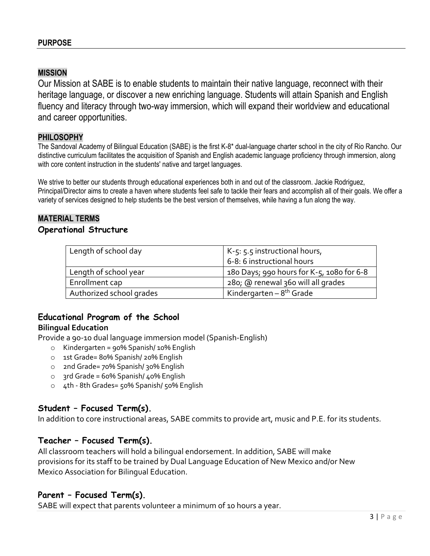## **MISSION**

Our Mission at SABE is to enable students to maintain their native language, reconnect with their heritage language, or discover a new enriching language. Students will attain Spanish and English fluency and literacy through two-way immersion, which will expand their worldview and educational and career opportunities.

#### **PHILOSOPHY**

The Sandoval Academy of Bilingual Education (SABE) is the first K-8\* dual-language charter school in the city of Rio Rancho. Our distinctive curriculum facilitates the acquisition of Spanish and English academic language proficiency through immersion, along with core content instruction in the students' native and target languages.

We strive to better our students through educational experiences both in and out of the classroom. Jackie Rodriguez, Principal/Director aims to create a haven where students feel safe to tackle their fears and accomplish all of their goals. We offer a variety of services designed to help students be the best version of themselves, while having a fun along the way.

#### **MATERIAL TERMS**

#### **Operational Structure**

| Length of school day     | $K-5: 5.5$ instructional hours,           |
|--------------------------|-------------------------------------------|
|                          | 6-8: 6 instructional hours                |
| Length of school year    | 180 Days; 990 hours for K-5, 1080 for 6-8 |
| Enrollment cap           | 280; @ renewal 360 will all grades        |
| Authorized school grades | Kindergarten - 8 <sup>th</sup> Grade      |

## **Educational Program of the School Bilingual Education**

Provide a 90-10 dual language immersion model (Spanish-English)

- o Kindergarten = 90% Spanish/ 10% English
- o 1st Grade= 80% Spanish/ 20% English
- o 2nd Grade= 70% Spanish/ 30% English
- $\circ$  3rd Grade = 60% Spanish/ 40% English
- o 4th 8th Grades= 50% Spanish/ 50% English

## **Student – Focused Term(s).**

In addition to core instructional areas, SABE commits to provide art, music and P.E. for its students.

## **Teacher – Focused Term(s).**

All classroom teachers will hold a bilingual endorsement. In addition, SABE will make provisions for its staff to be trained by Dual Language Education of New Mexico and/or New Mexico Association for Bilingual Education.

## **Parent – Focused Term(s).**

SABE will expect that parents volunteer a minimum of 10 hours a year.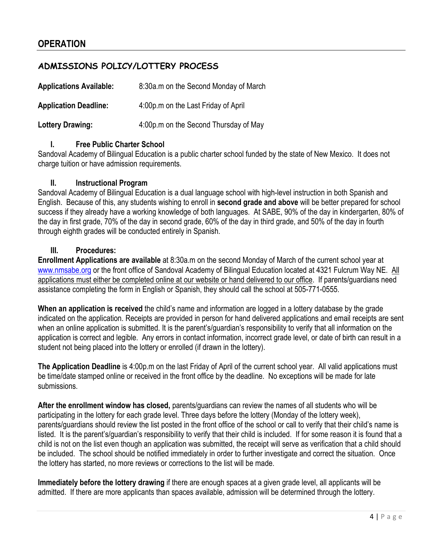# **OPERATION**

## **ADMISSIONS POLICY/LOTTERY PROCESS**

| <b>Applications Available:</b> | 8:30a.m on the Second Monday of March |
|--------------------------------|---------------------------------------|
| <b>Application Deadline:</b>   | 4:00p.m on the Last Friday of April   |
| Lottery Drawing:               | 4:00p.m on the Second Thursday of May |

#### **I. Free Public Charter School**

Sandoval Academy of Bilingual Education is a public charter school funded by the state of New Mexico. It does not charge tuition or have admission requirements.

#### **II. Instructional Program**

Sandoval Academy of Bilingual Education is a dual language school with high-level instruction in both Spanish and English. Because of this, any students wishing to enroll in **second grade and above** will be better prepared for school success if they already have a working knowledge of both languages. At SABE, 90% of the day in kindergarten, 80% of the day in first grade, 70% of the day in second grade, 60% of the day in third grade, and 50% of the day in fourth through eighth grades will be conducted entirely in Spanish.

#### **III. Procedures:**

**Enrollment Applications are available** at 8:30a.m on the second Monday of March of the current school year at [www.nmsabe.org](http://www.nmsabe.org/) or the front office of Sandoval Academy of Bilingual Education located at 4321 Fulcrum Way NE. All applications must either be completed online at our website or hand delivered to our office. If parents/guardians need assistance completing the form in English or Spanish, they should call the school at 505-771-0555.

**When an application is received** the child's name and information are logged in a lottery database by the grade indicated on the application. Receipts are provided in person for hand delivered applications and email receipts are sent when an online application is submitted. It is the parent's/guardian's responsibility to verify that all information on the application is correct and legible. Any errors in contact information, incorrect grade level, or date of birth can result in a student not being placed into the lottery or enrolled (if drawn in the lottery).

**The Application Deadline** is 4:00p.m on the last Friday of April of the current school year. All valid applications must be time/date stamped online or received in the front office by the deadline. No exceptions will be made for late submissions.

**After the enrollment window has closed,** parents/guardians can review the names of all students who will be participating in the lottery for each grade level. Three days before the lottery (Monday of the lottery week), parents/guardians should review the list posted in the front office of the school or call to verify that their child's name is listed. It is the parent's/guardian's responsibility to verify that their child is included. If for some reason it is found that a child is not on the list even though an application was submitted, the receipt will serve as verification that a child should be included. The school should be notified immediately in order to further investigate and correct the situation. Once the lottery has started, no more reviews or corrections to the list will be made.

**Immediately before the lottery drawing** if there are enough spaces at a given grade level, all applicants will be admitted. If there are more applicants than spaces available, admission will be determined through the lottery.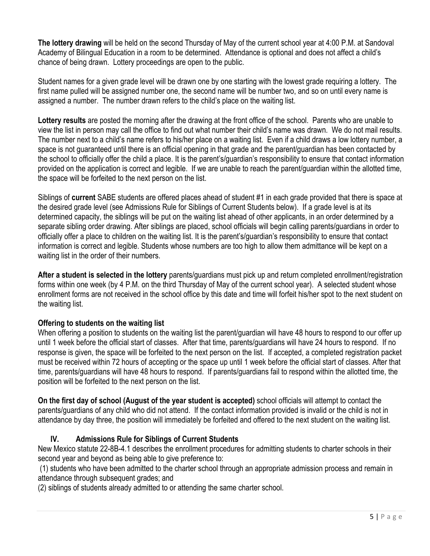**The lottery drawing** will be held on the second Thursday of May of the current school year at 4:00 P.M. at Sandoval Academy of Bilingual Education in a room to be determined. Attendance is optional and does not affect a child's chance of being drawn. Lottery proceedings are open to the public.

Student names for a given grade level will be drawn one by one starting with the lowest grade requiring a lottery. The first name pulled will be assigned number one, the second name will be number two, and so on until every name is assigned a number. The number drawn refers to the child's place on the waiting list.

**Lottery results** are posted the morning after the drawing at the front office of the school. Parents who are unable to view the list in person may call the office to find out what number their child's name was drawn. We do not mail results. The number next to a child's name refers to his/her place on a waiting list. Even if a child draws a low lottery number, a space is not guaranteed until there is an official opening in that grade and the parent/guardian has been contacted by the school to officially offer the child a place. It is the parent's/guardian's responsibility to ensure that contact information provided on the application is correct and legible. If we are unable to reach the parent/guardian within the allotted time, the space will be forfeited to the next person on the list.

Siblings of **current** SABE students are offered places ahead of student #1 in each grade provided that there is space at the desired grade level (see Admissions Rule for Siblings of Current Students below). If a grade level is at its determined capacity, the siblings will be put on the waiting list ahead of other applicants, in an order determined by a separate sibling order drawing. After siblings are placed, school officials will begin calling parents/guardians in order to officially offer a place to children on the waiting list. It is the parent's/guardian's responsibility to ensure that contact information is correct and legible. Students whose numbers are too high to allow them admittance will be kept on a waiting list in the order of their numbers.

**After a student is selected in the lottery** parents/guardians must pick up and return completed enrollment/registration forms within one week (by 4 P.M. on the third Thursday of May of the current school year). A selected student whose enrollment forms are not received in the school office by this date and time will forfeit his/her spot to the next student on the waiting list.

#### **Offering to students on the waiting list**

When offering a position to students on the waiting list the parent/guardian will have 48 hours to respond to our offer up until 1 week before the official start of classes. After that time, parents/guardians will have 24 hours to respond. If no response is given, the space will be forfeited to the next person on the list. If accepted, a completed registration packet must be received within 72 hours of accepting or the space up until 1 week before the official start of classes. After that time, parents/guardians will have 48 hours to respond. If parents/guardians fail to respond within the allotted time, the position will be forfeited to the next person on the list.

**On the first day of school (August of the year student is accepted)** school officials will attempt to contact the parents/guardians of any child who did not attend. If the contact information provided is invalid or the child is not in attendance by day three, the position will immediately be forfeited and offered to the next student on the waiting list.

## **IV. Admissions Rule for Siblings of Current Students**

New Mexico statute 22-8B-4.1 describes the enrollment procedures for admitting students to charter schools in their second year and beyond as being able to give preference to:

(1) students who have been admitted to the charter school through an appropriate admission process and remain in attendance through subsequent grades; and

(2) siblings of students already admitted to or attending the same charter school.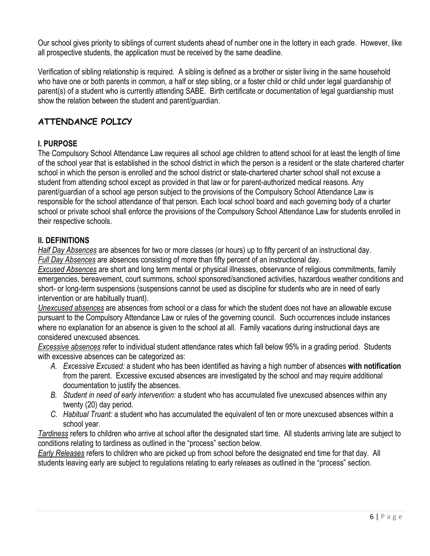Our school gives priority to siblings of current students ahead of number one in the lottery in each grade. However, like all prospective students, the application must be received by the same deadline.

Verification of sibling relationship is required. A sibling is defined as a brother or sister living in the same household who have one or both parents in common, a half or step sibling, or a foster child or child under legal guardianship of parent(s) of a student who is currently attending SABE. Birth certificate or documentation of legal guardianship must show the relation between the student and parent/guardian.

## **ATTENDANCE POLICY**

## **I. PURPOSE**

The Compulsory School Attendance Law requires all school age children to attend school for at least the length of time of the school year that is established in the school district in which the person is a resident or the state chartered charter school in which the person is enrolled and the school district or state-chartered charter school shall not excuse a student from attending school except as provided in that law or for parent-authorized medical reasons. Any parent/guardian of a school age person subject to the provisions of the Compulsory School Attendance Law is responsible for the school attendance of that person. Each local school board and each governing body of a charter school or private school shall enforce the provisions of the Compulsory School Attendance Law for students enrolled in their respective schools.

## **II. DEFINITIONS**

*Half Day Absences* are absences for two or more classes (or hours) up to fifty percent of an instructional day. *Full Day Absences* are absences consisting of more than fifty percent of an instructional day.

*Excused Absences* are short and long term mental or physical illnesses, observance of religious commitments, family emergencies, bereavement, court summons, school sponsored/sanctioned activities, hazardous weather conditions and short- or long-term suspensions (suspensions cannot be used as discipline for students who are in need of early intervention or are habitually truant).

*Unexcused absences* are absences from school or a class for which the student does not have an allowable excuse pursuant to the Compulsory Attendance Law or rules of the governing council. Such occurrences include instances where no explanation for an absence is given to the school at all. Family vacations during instructional days are considered unexcused absences.

*Excessive absences* refer to individual student attendance rates which fall below 95% in a grading period. Students with excessive absences can be categorized as:

- *A. Excessive Excused:* a student who has been identified as having a high number of absences **with notification** from the parent. Excessive excused absences are investigated by the school and may require additional documentation to justify the absences.
- *B. Student in need of early intervention:* a student who has accumulated five unexcused absences within any twenty (20) day period.
- *C. Habitual Truant:* a student who has accumulated the equivalent of ten or more unexcused absences within a school year.

*Tardiness* refers to children who arrive at school after the designated start time. All students arriving late are subject to conditions relating to tardiness as outlined in the "process" section below.

*Early Releases* refers to children who are picked up from school before the designated end time for that day. All students leaving early are subject to regulations relating to early releases as outlined in the "process" section.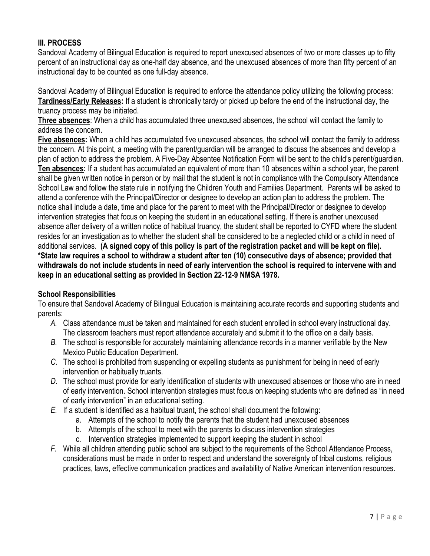## **III. PROCESS**

Sandoval Academy of Bilingual Education is required to report unexcused absences of two or more classes up to fifty percent of an instructional day as one-half day absence, and the unexcused absences of more than fifty percent of an instructional day to be counted as one full-day absence.

Sandoval Academy of Bilingual Education is required to enforce the attendance policy utilizing the following process: **Tardiness/Early Releases:** If a student is chronically tardy or picked up before the end of the instructional day, the truancy process may be initiated.

**Three absences**: When a child has accumulated three unexcused absences, the school will contact the family to address the concern.

**Five absences:** When a child has accumulated five unexcused absences, the school will contact the family to address the concern. At this point, a meeting with the parent/guardian will be arranged to discuss the absences and develop a plan of action to address the problem. A Five-Day Absentee Notification Form will be sent to the child's parent/guardian. **Ten absences:** If a student has accumulated an equivalent of more than 10 absences within a school year, the parent shall be given written notice in person or by mail that the student is not in compliance with the Compulsory Attendance School Law and follow the state rule in notifying the Children Youth and Families Department. Parents will be asked to attend a conference with the Principal/Director or designee to develop an action plan to address the problem. The notice shall include a date, time and place for the parent to meet with the Principal/Director or designee to develop intervention strategies that focus on keeping the student in an educational setting. If there is another unexcused absence after delivery of a written notice of habitual truancy, the student shall be reported to CYFD where the student resides for an investigation as to whether the student shall be considered to be a neglected child or a child in need of additional services. **(A signed copy of this policy is part of the registration packet and will be kept on file). \*State law requires a school to withdraw a student after ten (10) consecutive days of absence; provided that withdrawals do not include students in need of early intervention the school is required to intervene with and keep in an educational setting as provided in Section 22-12-9 NMSA 1978.**

#### **School Responsibilities**

To ensure that Sandoval Academy of Bilingual Education is maintaining accurate records and supporting students and parents:

- *A.* Class attendance must be taken and maintained for each student enrolled in school every instructional day. The classroom teachers must report attendance accurately and submit it to the office on a daily basis.
- *B.* The school is responsible for accurately maintaining attendance records in a manner verifiable by the New Mexico Public Education Department.
- *C.* The school is prohibited from suspending or expelling students as punishment for being in need of early intervention or habitually truants.
- *D.* The school must provide for early identification of students with unexcused absences or those who are in need of early intervention. School intervention strategies must focus on keeping students who are defined as "in need of early intervention" in an educational setting.
- *E.* If a student is identified as a habitual truant, the school shall document the following:
	- a. Attempts of the school to notify the parents that the student had unexcused absences
	- b. Attempts of the school to meet with the parents to discuss intervention strategies
	- c. Intervention strategies implemented to support keeping the student in school
- *F.* While all children attending public school are subject to the requirements of the School Attendance Process, considerations must be made in order to respect and understand the sovereignty of tribal customs, religious practices, laws, effective communication practices and availability of Native American intervention resources.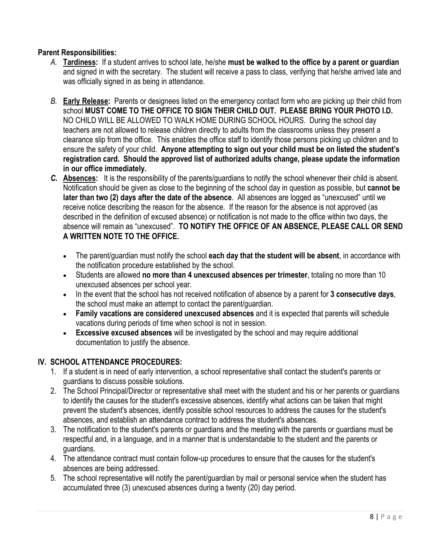## **Parent Responsibilities:**

- *A.* **Tardiness:** If a student arrives to school late, he/she **must be walked to the office by a parent or guardian** and signed in with the secretary. The student will receive a pass to class, verifying that he/she arrived late and was officially signed in as being in attendance.
- *B.* **Early Release:** Parents or designees listed on the emergency contact form who are picking up their child from school **MUST COME TO THE OFFICE TO SIGN THEIR CHILD OUT. PLEASE BRING YOUR PHOTO I.D.**  NO CHILD WILL BE ALLOWED TO WALK HOME DURING SCHOOL HOURS. During the school day teachers are not allowed to release children directly to adults from the classrooms unless they present a clearance slip from the office. This enables the office staff to identify those persons picking up children and to ensure the safety of your child. **Anyone attempting to sign out your child must be on listed the student's registration card. Should the approved list of authorized adults change, please update the information in our office immediately.**
- *C.* **Absences:** It is the responsibility of the parents/guardians to notify the school whenever their child is absent. Notification should be given as close to the beginning of the school day in question as possible, but **cannot be later than two (2) days after the date of the absence**. All absences are logged as "unexcused" until we receive notice describing the reason for the absence. If the reason for the absence is not approved (as described in the definition of excused absence) or notification is not made to the office within two days, the absence will remain as "unexcused". **TO NOTIFY THE OFFICE OF AN ABSENCE, PLEASE CALL OR SEND A WRITTEN NOTE TO THE OFFICE.** 
	- The parent/guardian must notify the school **each day that the student will be absent**, in accordance with the notification procedure established by the school.
	- Students are allowed **no more than 4 unexcused absences per trimester**, totaling no more than 10 unexcused absences per school year.
	- In the event that the school has not received notification of absence by a parent for **3 consecutive days**, the school must make an attempt to contact the parent/guardian.
	- **Family vacations are considered unexcused absences** and it is expected that parents will schedule vacations during periods of time when school is not in session.
	- **Excessive excused absences** will be investigated by the school and may require additional documentation to justify the absence.

#### **IV. SCHOOL ATTENDANCE PROCEDURES:**

- 1. If a student is in need of early intervention, a school representative shall contact the student's parents or guardians to discuss possible solutions.
- 2. The School Principal/Director or representative shall meet with the student and his or her parents or guardians to identify the causes for the student's excessive absences, identify what actions can be taken that might prevent the student's absences, identify possible school resources to address the causes for the student's absences, and establish an attendance contract to address the student's absences.
- 3. The notification to the student's parents or guardians and the meeting with the parents or guardians must be respectful and, in a language, and in a manner that is understandable to the student and the parents or guardians.
- 4. The attendance contract must contain follow-up procedures to ensure that the causes for the student's absences are being addressed.
- 5. The school representative will notify the parent/guardian by mail or personal service when the student has accumulated three (3) unexcused absences during a twenty (20) day period.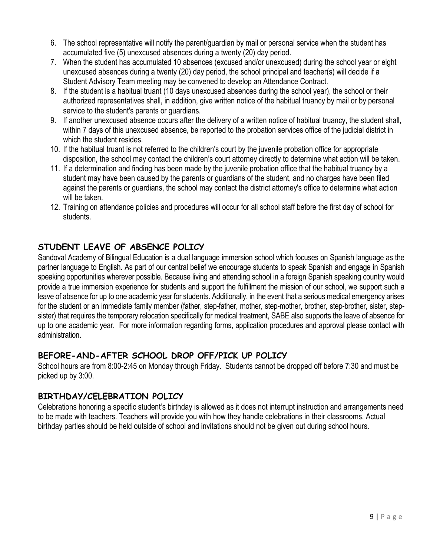- 6. The school representative will notify the parent/guardian by mail or personal service when the student has accumulated five (5) unexcused absences during a twenty (20) day period.
- 7. When the student has accumulated 10 absences (excused and/or unexcused) during the school year or eight unexcused absences during a twenty (20) day period, the school principal and teacher(s) will decide if a Student Advisory Team meeting may be convened to develop an Attendance Contract.
- 8. If the student is a habitual truant (10 days unexcused absences during the school year), the school or their authorized representatives shall, in addition, give written notice of the habitual truancy by mail or by personal service to the student's parents or guardians.
- 9. If another unexcused absence occurs after the delivery of a written notice of habitual truancy, the student shall, within 7 days of this unexcused absence, be reported to the probation services office of the judicial district in which the student resides.
- 10. If the habitual truant is not referred to the children's court by the juvenile probation office for appropriate disposition, the school may contact the children's court attorney directly to determine what action will be taken.
- 11. If a determination and finding has been made by the juvenile probation office that the habitual truancy by a student may have been caused by the parents or guardians of the student, and no charges have been filed against the parents or guardians, the school may contact the district attorney's office to determine what action will be taken.
- 12. Training on attendance policies and procedures will occur for all school staff before the first day of school for students.

# **STUDENT LEAVE OF ABSENCE POLICY**

Sandoval Academy of Bilingual Education is a dual language immersion school which focuses on Spanish language as the partner language to English. As part of our central belief we encourage students to speak Spanish and engage in Spanish speaking opportunities wherever possible. Because living and attending school in a foreign Spanish speaking country would provide a true immersion experience for students and support the fulfillment the mission of our school, we support such a leave of absence for up to one academic year for students. Additionally, in the event that a serious medical emergency arises for the student or an immediate family member (father, step-father, mother, step-mother, brother, step-brother, sister, stepsister) that requires the temporary relocation specifically for medical treatment, SABE also supports the leave of absence for up to one academic year. For more information regarding forms, application procedures and approval please contact with administration.

# **BEFORE-AND-AFTER SCHOOL DROP OFF/PICK UP POLICY**

School hours are from 8:00-2:45 on Monday through Friday. Students cannot be dropped off before 7:30 and must be picked up by 3:00.

# **BIRTHDAY/CELEBRATION POLICY**

Celebrations honoring a specific student's birthday is allowed as it does not interrupt instruction and arrangements need to be made with teachers. Teachers will provide you with how they handle celebrations in their classrooms. Actual birthday parties should be held outside of school and invitations should not be given out during school hours.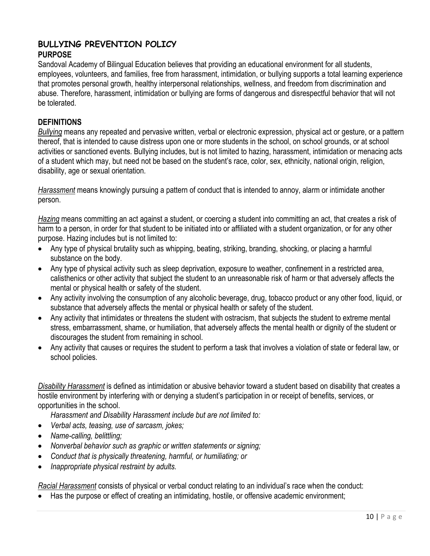#### **BULLYING PREVENTION POLICY PURPOSE**

Sandoval Academy of Bilingual Education believes that providing an educational environment for all students, employees, volunteers, and families, free from harassment, intimidation, or bullying supports a total learning experience that promotes personal growth, healthy interpersonal relationships, wellness, and freedom from discrimination and abuse. Therefore, harassment, intimidation or bullying are forms of dangerous and disrespectful behavior that will not be tolerated.

#### **DEFINITIONS**

*Bullying* means any repeated and pervasive written, verbal or electronic expression, physical act or gesture, or a pattern thereof, that is intended to cause distress upon one or more students in the school, on school grounds, or at school activities or sanctioned events. Bullying includes, but is not limited to hazing, harassment, intimidation or menacing acts of a student which may, but need not be based on the student's race, color, sex, ethnicity, national origin, religion, disability, age or sexual orientation.

*Harassment* means knowingly pursuing a pattern of conduct that is intended to annoy, alarm or intimidate another person.

*Hazing* means committing an act against a student, or coercing a student into committing an act, that creates a risk of harm to a person, in order for that student to be initiated into or affiliated with a student organization, or for any other purpose. Hazing includes but is not limited to:

- Any type of physical brutality such as whipping, beating, striking, branding, shocking, or placing a harmful substance on the body.
- Any type of physical activity such as sleep deprivation, exposure to weather, confinement in a restricted area, calisthenics or other activity that subject the student to an unreasonable risk of harm or that adversely affects the mental or physical health or safety of the student.
- Any activity involving the consumption of any alcoholic beverage, drug, tobacco product or any other food, liquid, or substance that adversely affects the mental or physical health or safety of the student.
- Any activity that intimidates or threatens the student with ostracism, that subjects the student to extreme mental stress, embarrassment, shame, or humiliation, that adversely affects the mental health or dignity of the student or discourages the student from remaining in school.
- Any activity that causes or requires the student to perform a task that involves a violation of state or federal law, or school policies.

*Disability Harassment* is defined as intimidation or abusive behavior toward a student based on disability that creates a hostile environment by interfering with or denying a student's participation in or receipt of benefits, services, or opportunities in the school.

*Harassment and Disability Harassment include but are not limited to:*

- *Verbal acts, teasing, use of sarcasm, jokes;*
- *Name-calling, belittling;*
- *Nonverbal behavior such as graphic or written statements or signing;*
- *Conduct that is physically threatening, harmful, or humiliating; or*
- *Inappropriate physical restraint by adults.*

*Racial Harassment* consists of physical or verbal conduct relating to an individual's race when the conduct:

• Has the purpose or effect of creating an intimidating, hostile, or offensive academic environment;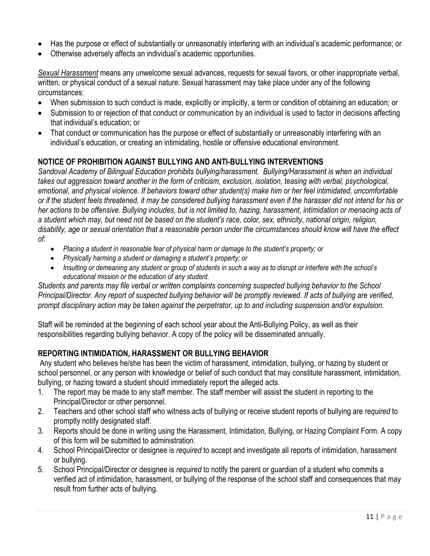- Has the purpose or effect of substantially or unreasonably interfering with an individual's academic performance; or
- Otherwise adversely affects an individual's academic opportunities.

*Sexual Harassment* means any unwelcome sexual advances, requests for sexual favors, or other inappropriate verbal, written, or physical conduct of a sexual nature. Sexual harassment may take place under any of the following circumstances:

- When submission to such conduct is made, explicitly or implicitly, a term or condition of obtaining an education; or
- Submission to or rejection of that conduct or communication by an individual is used to factor in decisions affecting that individual's education; or
- That conduct or communication has the purpose or effect of substantially or unreasonably interfering with an individual's education, or creating an intimidating, hostile or offensive educational environment.

## **NOTICE OF PROHIBITION AGAINST BULLYING AND ANTI-BULLYING INTERVENTIONS**

*Sandoval Academy of Bilingual Education prohibits bullying/harassment. Bullying/Harassment is when an individual takes out aggression toward another in the form of criticism, exclusion, isolation, teasing with verbal, psychological, emotional, and physical violence. If behaviors toward other student(s) make him or her feel intimidated, uncomfortable or if the student feels threatened, it may be considered bullying harassment even if the harasser did not intend for his or her actions to be offensive. Bullying includes, but is not limited to, hazing, harassment, intimidation or menacing acts of a student which may, but need not be based on the student's race, color, sex, ethnicity, national origin, religion, disability, age or sexual orientation that a reasonable person under the circumstances should know will have the effect of:*

- *Placing a student in reasonable fear of physical harm or damage to the student's property; or*
- *Physically harming a student or damaging a student's property; or*
- *Insulting or demeaning any student or group of students in such a way as to disrupt or interfere with the school's educational mission or the education of any student.*

*Students and parents may file verbal or written complaints concerning suspected bullying behavior to the School Principal/Director. Any report of suspected bullying behavior will be promptly reviewed. If acts of bullying are verified, prompt disciplinary action may be taken against the perpetrator, up to and including suspension and/or expulsion.*

Staff will be reminded at the beginning of each school year about the Anti-Bullying Policy, as well as their responsibilities regarding bullying behavior. A copy of the policy will be disseminated annually.

#### **REPORTING INTIMIDATION, HARASSMENT OR BULLYING BEHAVIOR**

Any student who believes he/she has been the victim of harassment, intimidation, bullying, or hazing by student or school personnel, or any person with knowledge or belief of such conduct that may constitute harassment, intimidation, bullying, or hazing toward a student should immediately report the alleged acts.

- 1. The report may be made to any staff member. The staff member will assist the student in reporting to the Principal/Director or other personnel.
- 2. Teachers and other school staff who witness acts of bullying or receive student reports of bullying are *required* to promptly notify designated staff.
- 3. Reports should be done in writing using the Harassment, Intimidation, Bullying, or Hazing Complaint Form. A copy of this form will be submitted to administration.
- 4. School Principal/Director or designee is *required* to accept and investigate all reports of intimidation, harassment or bullying.
- 5. School Principal/Director or designee is *required* to notify the parent or guardian of a student who commits a verified act of intimidation, harassment, or bullying of the response of the school staff and consequences that may result from further acts of bullying.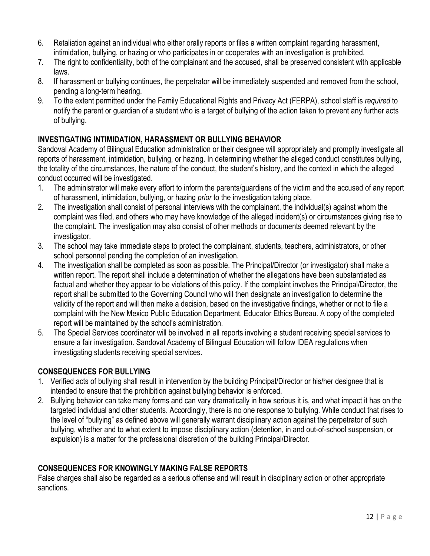- 6. Retaliation against an individual who either orally reports or files a written complaint regarding harassment, intimidation, bullying, or hazing or who participates in or cooperates with an investigation is prohibited.
- 7. The right to confidentiality, both of the complainant and the accused, shall be preserved consistent with applicable laws.
- 8. If harassment or bullying continues, the perpetrator will be immediately suspended and removed from the school, pending a long-term hearing.
- 9. To the extent permitted under the Family Educational Rights and Privacy Act (FERPA), school staff is *required* to notify the parent or guardian of a student who is a target of bullying of the action taken to prevent any further acts of bullying.

## **INVESTIGATING INTIMIDATION, HARASSMENT OR BULLYING BEHAVIOR**

Sandoval Academy of Bilingual Education administration or their designee will appropriately and promptly investigate all reports of harassment, intimidation, bullying, or hazing. In determining whether the alleged conduct constitutes bullying, the totality of the circumstances, the nature of the conduct, the student's history, and the context in which the alleged conduct occurred will be investigated.

- 1. The administrator will make every effort to inform the parents/guardians of the victim and the accused of any report of harassment, intimidation, bullying, or hazing *prior* to the investigation taking place.
- 2. The investigation shall consist of personal interviews with the complainant, the individual(s) against whom the complaint was filed, and others who may have knowledge of the alleged incident(s) or circumstances giving rise to the complaint. The investigation may also consist of other methods or documents deemed relevant by the investigator.
- 3. The school may take immediate steps to protect the complainant, students, teachers, administrators, or other school personnel pending the completion of an investigation.
- 4. The investigation shall be completed as soon as possible. The Principal/Director (or investigator) shall make a written report. The report shall include a determination of whether the allegations have been substantiated as factual and whether they appear to be violations of this policy. If the complaint involves the Principal/Director, the report shall be submitted to the Governing Council who will then designate an investigation to determine the validity of the report and will then make a decision, based on the investigative findings, whether or not to file a complaint with the New Mexico Public Education Department, Educator Ethics Bureau. A copy of the completed report will be maintained by the school's administration.
- 5. The Special Services coordinator will be involved in all reports involving a student receiving special services to ensure a fair investigation. Sandoval Academy of Bilingual Education will follow IDEA regulations when investigating students receiving special services.

## **CONSEQUENCES FOR BULLYING**

- 1. Verified acts of bullying shall result in intervention by the building Principal/Director or his/her designee that is intended to ensure that the prohibition against bullying behavior is enforced.
- 2. Bullying behavior can take many forms and can vary dramatically in how serious it is, and what impact it has on the targeted individual and other students. Accordingly, there is no one response to bullying. While conduct that rises to the level of "bullying" as defined above will generally warrant disciplinary action against the perpetrator of such bullying, whether and to what extent to impose disciplinary action (detention, in and out-of-school suspension, or expulsion) is a matter for the professional discretion of the building Principal/Director.

# **CONSEQUENCES FOR KNOWINGLY MAKING FALSE REPORTS**

False charges shall also be regarded as a serious offense and will result in disciplinary action or other appropriate sanctions.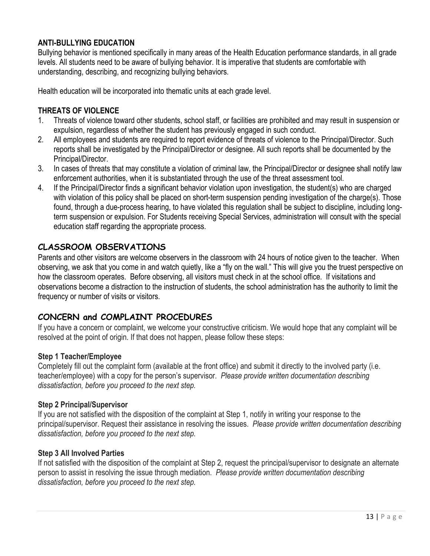## **ANTI-BULLYING EDUCATION**

Bullying behavior is mentioned specifically in many areas of the Health Education performance standards, in all grade levels. All students need to be aware of bullying behavior. It is imperative that students are comfortable with understanding, describing, and recognizing bullying behaviors.

Health education will be incorporated into thematic units at each grade level.

#### **THREATS OF VIOLENCE**

- 1. Threats of violence toward other students, school staff, or facilities are prohibited and may result in suspension or expulsion, regardless of whether the student has previously engaged in such conduct.
- 2. All employees and students are required to report evidence of threats of violence to the Principal/Director. Such reports shall be investigated by the Principal/Director or designee. All such reports shall be documented by the Principal/Director.
- 3. In cases of threats that may constitute a violation of criminal law, the Principal/Director or designee shall notify law enforcement authorities, when it is substantiated through the use of the threat assessment tool.
- 4. If the Principal/Director finds a significant behavior violation upon investigation, the student(s) who are charged with violation of this policy shall be placed on short-term suspension pending investigation of the charge(s). Those found, through a due-process hearing, to have violated this regulation shall be subject to discipline, including longterm suspension or expulsion. For Students receiving Special Services, administration will consult with the special education staff regarding the appropriate process.

## **CLASSROOM OBSERVATIONS**

Parents and other visitors are welcome observers in the classroom with 24 hours of notice given to the teacher. When observing, we ask that you come in and watch quietly, like a "fly on the wall." This will give you the truest perspective on how the classroom operates. Before observing, all visitors must check in at the school office. If visitations and observations become a distraction to the instruction of students, the school administration has the authority to limit the frequency or number of visits or visitors.

# **CONCERN and COMPLAINT PROCEDURES**

If you have a concern or complaint, we welcome your constructive criticism. We would hope that any complaint will be resolved at the point of origin. If that does not happen, please follow these steps:

#### **Step 1 Teacher/Employee**

Completely fill out the complaint form (available at the front office) and submit it directly to the involved party (i.e. teacher/employee) with a copy for the person's supervisor. *Please provide written documentation describing dissatisfaction, before you proceed to the next step.*

#### **Step 2 Principal/Supervisor**

If you are not satisfied with the disposition of the complaint at Step 1, notify in writing your response to the principal/supervisor. Request their assistance in resolving the issues. *Please provide written documentation describing dissatisfaction, before you proceed to the next step.*

#### **Step 3 All Involved Parties**

If not satisfied with the disposition of the complaint at Step 2, request the principal/supervisor to designate an alternate person to assist in resolving the issue through mediation. *Please provide written documentation describing dissatisfaction, before you proceed to the next step.*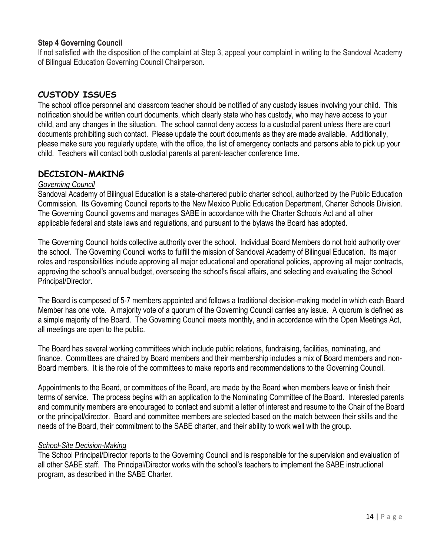#### **Step 4 Governing Council**

If not satisfied with the disposition of the complaint at Step 3, appeal your complaint in writing to the Sandoval Academy of Bilingual Education Governing Council Chairperson.

## **CUSTODY ISSUES**

The school office personnel and classroom teacher should be notified of any custody issues involving your child. This notification should be written court documents, which clearly state who has custody, who may have access to your child, and any changes in the situation. The school cannot deny access to a custodial parent unless there are court documents prohibiting such contact. Please update the court documents as they are made available. Additionally, please make sure you regularly update, with the office, the list of emergency contacts and persons able to pick up your child. Teachers will contact both custodial parents at parent-teacher conference time.

## **DECISION-MAKING**

#### *Governing Council*

Sandoval Academy of Bilingual Education is a state-chartered public charter school, authorized by the Public Education Commission. Its Governing Council reports to the New Mexico Public Education Department, Charter Schools Division. The Governing Council governs and manages SABE in accordance with the Charter Schools Act and all other applicable federal and state laws and regulations, and pursuant to the bylaws the Board has adopted.

The Governing Council holds collective authority over the school. Individual Board Members do not hold authority over the school. The Governing Council works to fulfill the mission of Sandoval Academy of Bilingual Education. Its major roles and responsibilities include approving all major educational and operational policies, approving all major contracts, approving the school's annual budget, overseeing the school's fiscal affairs, and selecting and evaluating the School Principal/Director.

The Board is composed of 5-7 members appointed and follows a traditional decision-making model in which each Board Member has one vote. A majority vote of a quorum of the Governing Council carries any issue. A quorum is defined as a simple majority of the Board. The Governing Council meets monthly, and in accordance with the Open Meetings Act, all meetings are open to the public.

The Board has several working committees which include public relations, fundraising, facilities, nominating, and finance. Committees are chaired by Board members and their membership includes a mix of Board members and non-Board members. It is the role of the committees to make reports and recommendations to the Governing Council.

Appointments to the Board, or committees of the Board, are made by the Board when members leave or finish their terms of service. The process begins with an application to the Nominating Committee of the Board. Interested parents and community members are encouraged to contact and submit a letter of interest and resume to the Chair of the Board or the principal/director. Board and committee members are selected based on the match between their skills and the needs of the Board, their commitment to the SABE charter, and their ability to work well with the group.

#### *School-Site Decision-Making*

The School Principal/Director reports to the Governing Council and is responsible for the supervision and evaluation of all other SABE staff. The Principal/Director works with the school's teachers to implement the SABE instructional program, as described in the SABE Charter.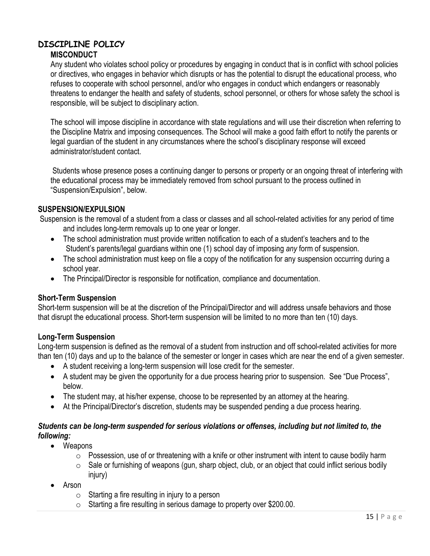#### **DISCIPLINE POLICY MISCONDUCT**

Any student who violates school policy or procedures by engaging in conduct that is in conflict with school policies or directives, who engages in behavior which disrupts or has the potential to disrupt the educational process, who refuses to cooperate with school personnel, and/or who engages in conduct which endangers or reasonably threatens to endanger the health and safety of students, school personnel, or others for whose safety the school is responsible, will be subject to disciplinary action.

The school will impose discipline in accordance with state regulations and will use their discretion when referring to the Discipline Matrix and imposing consequences. The School will make a good faith effort to notify the parents or legal guardian of the student in any circumstances where the school's disciplinary response will exceed administrator/student contact.

Students whose presence poses a continuing danger to persons or property or an ongoing threat of interfering with the educational process may be immediately removed from school pursuant to the process outlined in "Suspension/Expulsion", below.

## **SUSPENSION/EXPULSION**

Suspension is the removal of a student from a class or classes and all school-related activities for any period of time and includes long-term removals up to one year or longer.

- The school administration must provide written notification to each of a student's teachers and to the Student's parents/legal guardians within one (1) school day of imposing *any* form of suspension.
- The school administration must keep on file a copy of the notification for any suspension occurring during a school year.
- The Principal/Director is responsible for notification, compliance and documentation.

#### **Short-Term Suspension**

Short-term suspension will be at the discretion of the Principal/Director and will address unsafe behaviors and those that disrupt the educational process. Short-term suspension will be limited to no more than ten (10) days.

#### **Long-Term Suspension**

Long-term suspension is defined as the removal of a student from instruction and off school-related activities for more than ten (10) days and up to the balance of the semester or longer in cases which are near the end of a given semester.

- A student receiving a long-term suspension will lose credit for the semester.
- A student may be given the opportunity for a due process hearing prior to suspension. See "Due Process", below.
- The student may, at his/her expense, choose to be represented by an attorney at the hearing.
- At the Principal/Director's discretion, students may be suspended pending a due process hearing.

#### *Students can be long-term suspended for serious violations or offenses, including but not limited to, the following:*

- Weapons
	- o Possession, use of or threatening with a knife or other instrument with intent to cause bodily harm
	- $\circ$  Sale or furnishing of weapons (gun, sharp object, club, or an object that could inflict serious bodily injury)
- Arson
	- $\circ$  Starting a fire resulting in injury to a person
	- o Starting a fire resulting in serious damage to property over \$200.00.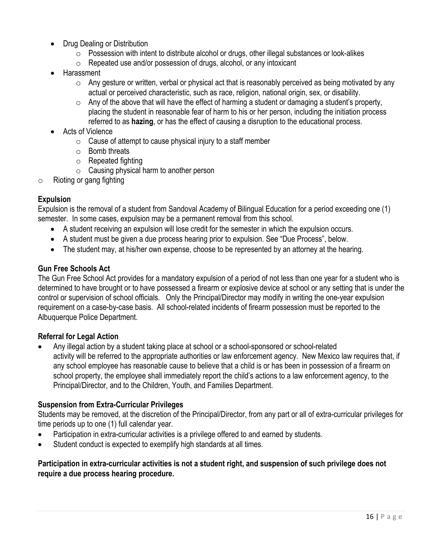- Drug Dealing or Distribution
	- $\circ$  Possession with intent to distribute alcohol or drugs, other illegal substances or look-alikes
	- o Repeated use and/or possession of drugs, alcohol, or any intoxicant
- Harassment
	- $\circ$  Any gesture or written, verbal or physical act that is reasonably perceived as being motivated by any actual or perceived characteristic, such as race, religion, national origin, sex, or disability.
	- $\circ$  Any of the above that will have the effect of harming a student or damaging a student's property, placing the student in reasonable fear of harm to his or her person, including the initiation process referred to as **hazing**, or has the effect of causing a disruption to the educational process.
- Acts of Violence
	- $\circ$  Cause of attempt to cause physical injury to a staff member
	- o Bomb threats
	- o Repeated fighting
	- $\circ$  Causing physical harm to another person
- $\circ$  Rioting or gang fighting

## **Expulsion**

Expulsion is the removal of a student from Sandoval Academy of Bilingual Education for a period exceeding one (1) semester. In some cases, expulsion may be a permanent removal from this school.

- A student receiving an expulsion will lose credit for the semester in which the expulsion occurs.
- A student must be given a due process hearing prior to expulsion. See "Due Process", below.
- The student may, at his/her own expense, choose to be represented by an attorney at the hearing.

## **Gun Free Schools Act**

The Gun Free School Act provides for a mandatory expulsion of a period of not less than one year for a student who is determined to have brought or to have possessed a firearm or explosive device at school or any setting that is under the control or supervision of school officials. Only the Principal/Director may modify in writing the one-year expulsion requirement on a case-by-case basis. All school-related incidents of firearm possession must be reported to the Albuquerque Police Department.

#### **Referral for Legal Action**

• Any illegal action by a student taking place at school or a school-sponsored or school-related activity will be referred to the appropriate authorities or law enforcement agency. New Mexico law requires that, if any school employee has reasonable cause to believe that a child is or has been in possession of a firearm on school property, the employee shall immediately report the child's actions to a law enforcement agency, to the Principal/Director, and to the Children, Youth, and Families Department.

#### **Suspension from Extra-Curricular Privileges**

Students may be removed, at the discretion of the Principal/Director, from any part or all of extra-curricular privileges for time periods up to one (1) full calendar year.

- Participation in extra-curricular activities is a privilege offered to and earned by students.
- Student conduct is expected to exemplify high standards at all times.

## **Participation in extra-curricular activities is not a student right, and suspension of such privilege does not require a due process hearing procedure.**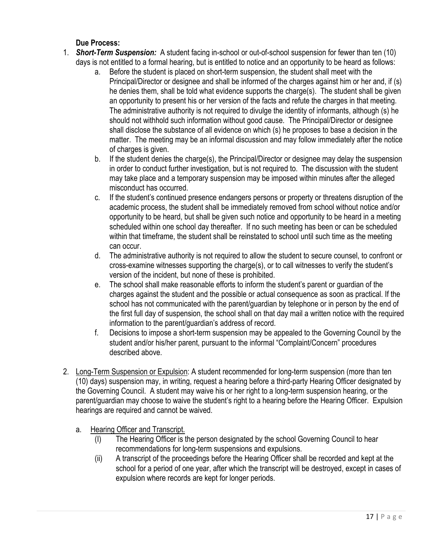## **Due Process:**

- 1. *Short-Term Suspension:* A student facing in-school or out-of-school suspension for fewer than ten (10) days is not entitled to a formal hearing, but is entitled to notice and an opportunity to be heard as follows:
	- a. Before the student is placed on short-term suspension, the student shall meet with the Principal/Director or designee and shall be informed of the charges against him or her and, if (s) he denies them, shall be told what evidence supports the charge(s). The student shall be given an opportunity to present his or her version of the facts and refute the charges in that meeting. The administrative authority is not required to divulge the identity of informants, although (s) he should not withhold such information without good cause. The Principal/Director or designee shall disclose the substance of all evidence on which (s) he proposes to base a decision in the matter. The meeting may be an informal discussion and may follow immediately after the notice of charges is given.
	- b. If the student denies the charge(s), the Principal/Director or designee may delay the suspension in order to conduct further investigation, but is not required to. The discussion with the student may take place and a temporary suspension may be imposed within minutes after the alleged misconduct has occurred.
	- c. If the student's continued presence endangers persons or property or threatens disruption of the academic process, the student shall be immediately removed from school without notice and/or opportunity to be heard, but shall be given such notice and opportunity to be heard in a meeting scheduled within one school day thereafter. If no such meeting has been or can be scheduled within that timeframe, the student shall be reinstated to school until such time as the meeting can occur.
	- d. The administrative authority is not required to allow the student to secure counsel, to confront or cross-examine witnesses supporting the charge(s), or to call witnesses to verify the student's version of the incident, but none of these is prohibited.
	- e. The school shall make reasonable efforts to inform the student's parent or guardian of the charges against the student and the possible or actual consequence as soon as practical. If the school has not communicated with the parent/guardian by telephone or in person by the end of the first full day of suspension, the school shall on that day mail a written notice with the required information to the parent/guardian's address of record.
	- f. Decisions to impose a short-term suspension may be appealed to the Governing Council by the student and/or his/her parent, pursuant to the informal "Complaint/Concern" procedures described above.
- 2. Long-Term Suspension or Expulsion: A student recommended for long-term suspension (more than ten (10) days) suspension may, in writing, request a hearing before a third-party Hearing Officer designated by the Governing Council. A student may waive his or her right to a long-term suspension hearing, or the parent/guardian may choose to waive the student's right to a hearing before the Hearing Officer. Expulsion hearings are required and cannot be waived.
	- a. Hearing Officer and Transcript.
		- (I) The Hearing Officer is the person designated by the school Governing Council to hear recommendations for long-term suspensions and expulsions.
		- (ii) A transcript of the proceedings before the Hearing Officer shall be recorded and kept at the school for a period of one year, after which the transcript will be destroyed, except in cases of expulsion where records are kept for longer periods.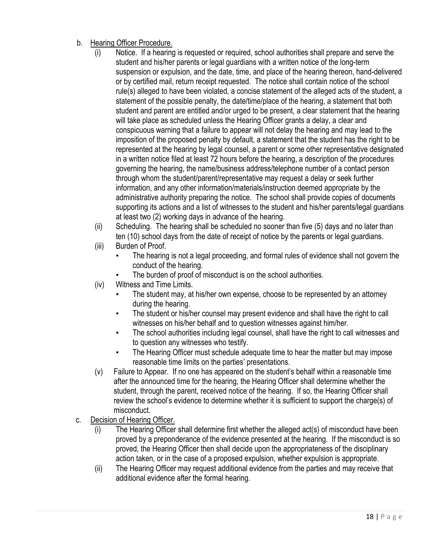- b. Hearing Officer Procedure.
	- (i) Notice. If a hearing is requested or required, school authorities shall prepare and serve the student and his/her parents or legal guardians with a written notice of the long-term suspension or expulsion, and the date, time, and place of the hearing thereon, hand-delivered or by certified mail, return receipt requested. The notice shall contain notice of the school rule(s) alleged to have been violated, a concise statement of the alleged acts of the student, a statement of the possible penalty, the date/time/place of the hearing, a statement that both student and parent are entitled and/or urged to be present, a clear statement that the hearing will take place as scheduled unless the Hearing Officer grants a delay, a clear and conspicuous warning that a failure to appear will not delay the hearing and may lead to the imposition of the proposed penalty by default, a statement that the student has the right to be represented at the hearing by legal counsel, a parent or some other representative designated in a written notice filed at least 72 hours before the hearing, a description of the procedures governing the hearing, the name/business address/telephone number of a contact person through whom the student/parent/representative may request a delay or seek further information, and any other information/materials/instruction deemed appropriate by the administrative authority preparing the notice. The school shall provide copies of documents supporting its actions and a list of witnesses to the student and his/her parents/legal guardians at least two (2) working days in advance of the hearing.
	- (ii) Scheduling. The hearing shall be scheduled no sooner than five (5) days and no later than ten (10) school days from the date of receipt of notice by the parents or legal guardians.
	- (iii) Burden of Proof.
		- The hearing is not a legal proceeding, and formal rules of evidence shall not govern the conduct of the hearing.
		- The burden of proof of misconduct is on the school authorities.
	- (iv) Witness and Time Limits.
		- The student may, at his/her own expense, choose to be represented by an attorney during the hearing.
		- The student or his/her counsel may present evidence and shall have the right to call witnesses on his/her behalf and to question witnesses against him/her.
		- The school authorities including legal counsel, shall have the right to call witnesses and to question any witnesses who testify.
		- The Hearing Officer must schedule adequate time to hear the matter but may impose reasonable time limits on the parties' presentations.
	- (v) Failure to Appear. If no one has appeared on the student's behalf within a reasonable time after the announced time for the hearing, the Hearing Officer shall determine whether the student, through the parent, received notice of the hearing. If so, the Hearing Officer shall review the school's evidence to determine whether it is sufficient to support the charge(s) of misconduct.
- c. Decision of Hearing Officer.
	- (i) The Hearing Officer shall determine first whether the alleged act(s) of misconduct have been proved by a preponderance of the evidence presented at the hearing. If the misconduct is so proved, the Hearing Officer then shall decide upon the appropriateness of the disciplinary action taken, or in the case of a proposed expulsion, whether expulsion is appropriate.
	- (ii) The Hearing Officer may request additional evidence from the parties and may receive that additional evidence after the formal hearing.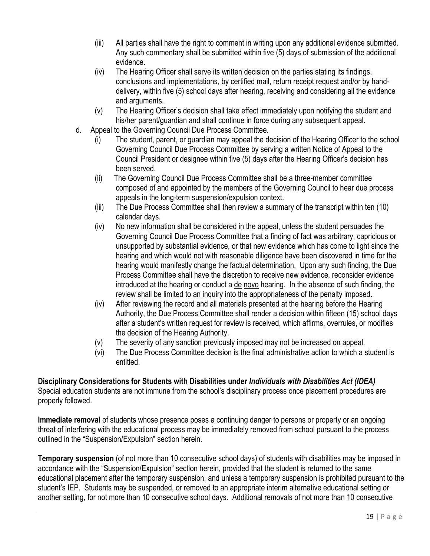- (iii) All parties shall have the right to comment in writing upon any additional evidence submitted. Any such commentary shall be submitted within five (5) days of submission of the additional evidence.
- (iv) The Hearing Officer shall serve its written decision on the parties stating its findings, conclusions and implementations, by certified mail, return receipt request and/or by handdelivery, within five (5) school days after hearing, receiving and considering all the evidence and arguments.
- (v) The Hearing Officer's decision shall take effect immediately upon notifying the student and his/her parent/guardian and shall continue in force during any subsequent appeal.
- d. Appeal to the Governing Council Due Process Committee.
	- (i) The student, parent, or guardian may appeal the decision of the Hearing Officer to the school Governing Council Due Process Committee by serving a written Notice of Appeal to the Council President or designee within five (5) days after the Hearing Officer's decision has been served.
	- (ii) The Governing Council Due Process Committee shall be a three-member committee composed of and appointed by the members of the Governing Council to hear due process appeals in the long-term suspension/expulsion context.
	- (iii) The Due Process Committee shall then review a summary of the transcript within ten (10) calendar days.
	- (iv) No new information shall be considered in the appeal, unless the student persuades the Governing Council Due Process Committee that a finding of fact was arbitrary, capricious or unsupported by substantial evidence, or that new evidence which has come to light since the hearing and which would not with reasonable diligence have been discovered in time for the hearing would manifestly change the factual determination. Upon any such finding, the Due Process Committee shall have the discretion to receive new evidence, reconsider evidence introduced at the hearing or conduct a de novo hearing. In the absence of such finding, the review shall be limited to an inquiry into the appropriateness of the penalty imposed.
	- (iv) After reviewing the record and all materials presented at the hearing before the Hearing Authority, the Due Process Committee shall render a decision within fifteen (15) school days after a student's written request for review is received, which affirms, overrules, or modifies the decision of the Hearing Authority.
	- (v) The severity of any sanction previously imposed may not be increased on appeal.
	- (vi) The Due Process Committee decision is the final administrative action to which a student is entitled.

#### **Disciplinary Considerations for Students with Disabilities under** *Individuals with Disabilities Act (IDEA)* Special education students are not immune from the school's disciplinary process once placement procedures are properly followed.

**Immediate removal** of students whose presence poses a continuing danger to persons or property or an ongoing threat of interfering with the educational process may be immediately removed from school pursuant to the process outlined in the "Suspension/Expulsion" section herein.

**Temporary suspension** (of not more than 10 consecutive school days) of students with disabilities may be imposed in accordance with the "Suspension/Expulsion" section herein, provided that the student is returned to the same educational placement after the temporary suspension, and unless a temporary suspension is prohibited pursuant to the student's IEP. Students may be suspended, or removed to an appropriate interim alternative educational setting or another setting, for not more than 10 consecutive school days. Additional removals of not more than 10 consecutive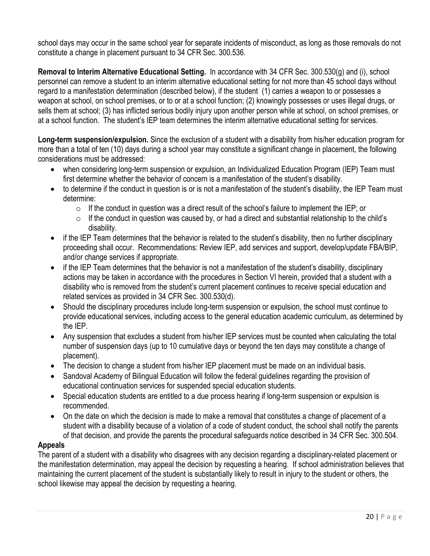school days may occur in the same school year for separate incidents of misconduct, as long as those removals do not constitute a change in placement pursuant to 34 CFR Sec. 300.536.

**Removal to Interim Alternative Educational Setting.** In accordance with 34 CFR Sec. 300.530(g) and (i), school personnel can remove a student to an interim alternative educational setting for not more than 45 school days without regard to a manifestation determination (described below), if the student (1) carries a weapon to or possesses a weapon at school, on school premises, or to or at a school function; (2) knowingly possesses or uses illegal drugs, or sells them at school; (3) has inflicted serious bodily injury upon another person while at school, on school premises, or at a school function. The student's IEP team determines the interim alternative educational setting for services.

**Long-term suspension/expulsion.** Since the exclusion of a student with a disability from his/her education program for more than a total of ten (10) days during a school year may constitute a significant change in placement, the following considerations must be addressed:

- when considering long-term suspension or expulsion, an Individualized Education Program (IEP) Team must first determine whether the behavior of concern is a manifestation of the student's disability.
- to determine if the conduct in question is or is not a manifestation of the student's disability, the IEP Team must determine:
	- $\circ$  If the conduct in question was a direct result of the school's failure to implement the IEP; or
	- $\circ$  If the conduct in question was caused by, or had a direct and substantial relationship to the child's disability.
- if the IEP Team determines that the behavior is related to the student's disability, then no further disciplinary proceeding shall occur. Recommendations: Review IEP, add services and support, develop/update FBA/BIP, and/or change services if appropriate.
- if the IEP Team determines that the behavior is not a manifestation of the student's disability, disciplinary actions may be taken in accordance with the procedures in Section VI herein, provided that a student with a disability who is removed from the student's current placement continues to receive special education and related services as provided in 34 CFR Sec. 300.530(d).
- Should the disciplinary procedures include long-term suspension or expulsion, the school must continue to provide educational services, including access to the general education academic curriculum, as determined by the IEP.
- Any suspension that excludes a student from his/her IEP services must be counted when calculating the total number of suspension days (up to 10 cumulative days or beyond the ten days may constitute a change of placement).
- The decision to change a student from his/her IEP placement must be made on an individual basis.
- Sandoval Academy of Bilingual Education will follow the federal guidelines regarding the provision of educational continuation services for suspended special education students.
- Special education students are entitled to a due process hearing if long-term suspension or expulsion is recommended.
- On the date on which the decision is made to make a removal that constitutes a change of placement of a student with a disability because of a violation of a code of student conduct, the school shall notify the parents of that decision, and provide the parents the procedural safeguards notice described in 34 CFR Sec. 300.504.

#### **Appeals**

The parent of a student with a disability who disagrees with any decision regarding a disciplinary-related placement or the manifestation determination, may appeal the decision by requesting a hearing. If school administration believes that maintaining the current placement of the student is substantially likely to result in injury to the student or others, the school likewise may appeal the decision by requesting a hearing.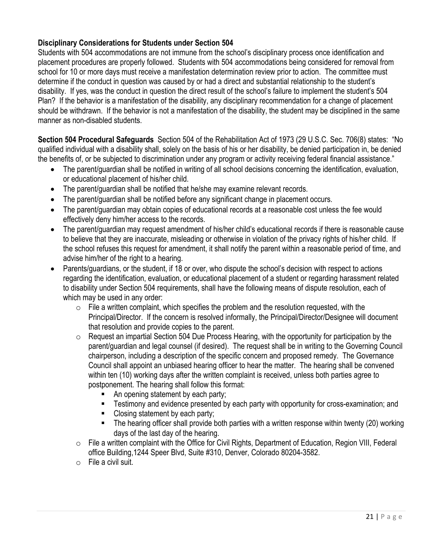## **Disciplinary Considerations for Students under Section 504**

Students with 504 accommodations are not immune from the school's disciplinary process once identification and placement procedures are properly followed. Students with 504 accommodations being considered for removal from school for 10 or more days must receive a manifestation determination review prior to action. The committee must determine if the conduct in question was caused by or had a direct and substantial relationship to the student's disability. If yes, was the conduct in question the direct result of the school's failure to implement the student's 504 Plan? If the behavior is a manifestation of the disability, any disciplinary recommendation for a change of placement should be withdrawn. If the behavior is not a manifestation of the disability, the student may be disciplined in the same manner as non-disabled students.

**Section 504 Procedural Safeguards** Section 504 of the Rehabilitation Act of 1973 (29 U.S.C. Sec. 706(8) states: "No qualified individual with a disability shall, solely on the basis of his or her disability, be denied participation in, be denied the benefits of, or be subjected to discrimination under any program or activity receiving federal financial assistance."

- The parent/guardian shall be notified in writing of all school decisions concerning the identification, evaluation, or educational placement of his/her child.
- The parent/guardian shall be notified that he/she may examine relevant records.
- The parent/quardian shall be notified before any significant change in placement occurs.
- The parent/guardian may obtain copies of educational records at a reasonable cost unless the fee would effectively deny him/her access to the records.
- The parent/guardian may request amendment of his/her child's educational records if there is reasonable cause to believe that they are inaccurate, misleading or otherwise in violation of the privacy rights of his/her child. If the school refuses this request for amendment, it shall notify the parent within a reasonable period of time, and advise him/her of the right to a hearing.
- Parents/guardians, or the student, if 18 or over, who dispute the school's decision with respect to actions regarding the identification, evaluation, or educational placement of a student or regarding harassment related to disability under Section 504 requirements, shall have the following means of dispute resolution, each of which may be used in any order:
	- $\circ$  File a written complaint, which specifies the problem and the resolution requested, with the Principal/Director. If the concern is resolved informally, the Principal/Director/Designee will document that resolution and provide copies to the parent.
	- o Request an impartial Section 504 Due Process Hearing, with the opportunity for participation by the parent/guardian and legal counsel (if desired). The request shall be in writing to the Governing Council chairperson, including a description of the specific concern and proposed remedy. The Governance Council shall appoint an unbiased hearing officer to hear the matter. The hearing shall be convened within ten (10) working days after the written complaint is received, unless both parties agree to postponement. The hearing shall follow this format:
		- An opening statement by each party;
		- **EXECT** Testimony and evidence presented by each party with opportunity for cross-examination; and
		- Closing statement by each party;
		- The hearing officer shall provide both parties with a written response within twenty (20) working days of the last day of the hearing.
	- o File a written complaint with the Office for Civil Rights, Department of Education, Region VIII, Federal office Building,1244 Speer Blvd, Suite #310, Denver, Colorado 80204-3582.
	- o File a civil suit.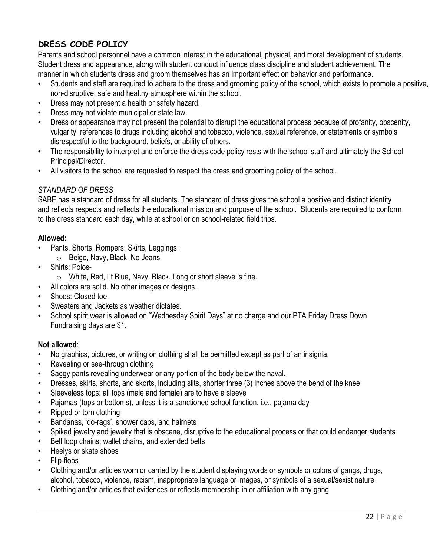# **DRESS CODE POLICY**

Parents and school personnel have a common interest in the educational, physical, and moral development of students. Student dress and appearance, along with student conduct influence class discipline and student achievement. The manner in which students dress and groom themselves has an important effect on behavior and performance.

- Students and staff are required to adhere to the dress and grooming policy of the school, which exists to promote a positive, non-disruptive, safe and healthy atmosphere within the school.
- Dress may not present a health or safety hazard.
- Dress may not violate municipal or state law.
- Dress or appearance may not present the potential to disrupt the educational process because of profanity, obscenity, vulgarity, references to drugs including alcohol and tobacco, violence, sexual reference, or statements or symbols disrespectful to the background, beliefs, or ability of others.
- The responsibility to interpret and enforce the dress code policy rests with the school staff and ultimately the School Principal/Director.
- All visitors to the school are requested to respect the dress and grooming policy of the school.

## *STANDARD OF DRESS*

SABE has a standard of dress for all students. The standard of dress gives the school a positive and distinct identity and reflects respects and reflects the educational mission and purpose of the school. Students are required to conform to the dress standard each day, while at school or on school-related field trips.

#### **Allowed:**

- Pants, Shorts, Rompers, Skirts, Leggings:
	- o Beige, Navy, Black. No Jeans.
- Shirts: Polos
	- o White, Red, Lt Blue, Navy, Black. Long or short sleeve is fine.
	- All colors are solid. No other images or designs.
- Shoes: Closed toe.
- Sweaters and Jackets as weather dictates.
- School spirit wear is allowed on "Wednesday Spirit Days" at no charge and our PTA Friday Dress Down Fundraising days are \$1.

#### **Not allowed**:

- No graphics, pictures, or writing on clothing shall be permitted except as part of an insignia.
- Revealing or see-through clothing
- Saggy pants revealing underwear or any portion of the body below the naval.
- Dresses, skirts, shorts, and skorts, including slits, shorter three (3) inches above the bend of the knee.
- Sleeveless tops: all tops (male and female) are to have a sleeve
- Pajamas (tops or bottoms), unless it is a sanctioned school function, i.e., pajama day
- Ripped or torn clothing
- Bandanas, 'do-rags', shower caps, and hairnets
- Spiked jewelry and jewelry that is obscene, disruptive to the educational process or that could endanger students
- Belt loop chains, wallet chains, and extended belts
- Heelys or skate shoes
- Flip-flops
- Clothing and/or articles worn or carried by the student displaying words or symbols or colors of gangs, drugs, alcohol, tobacco, violence, racism, inappropriate language or images, or symbols of a sexual/sexist nature
- Clothing and/or articles that evidences or reflects membership in or affiliation with any gang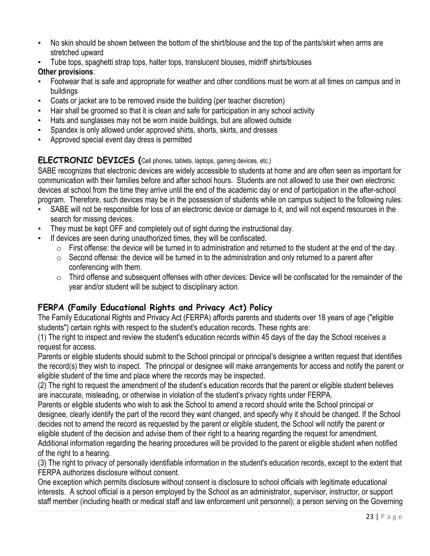- No skin should be shown between the bottom of the shirt/blouse and the top of the pants/skirt when arms are stretched upward
- Tube tops, spaghetti strap tops, halter tops, translucent blouses, midriff shirts/blouses

## **Other provisions**:

- Footwear that is safe and appropriate for weather and other conditions must be worn at all times on campus and in buildings
- Coats or jacket are to be removed inside the building (per teacher discretion)
- Hair shall be groomed so that it is clean and safe for participation in any school activity
- Hats and sunglasses may not be worn inside buildings, but are allowed outside
- Spandex is only allowed under approved shirts, shorts, skirts, and dresses
- Approved special event day dress is permitted

## **ELECTRONIC DEVICES (**Cell phones, tablets, laptops, gaming devices, etc.)

SABE recognizes that electronic devices are widely accessible to students at home and are often seen as important for communication with their families before and after school hours. Students are not allowed to use their own electronic devices at school from the time they arrive until the end of the academic day or end of participation in the after-school program. Therefore, such devices may be in the possession of students while on campus subject to the following rules:

- SABE will not be responsible for loss of an electronic device or damage to it, and will not expend resources in the search for missing devices.
- They must be kept OFF and completely out of sight during the instructional day.
- If devices are seen during unauthorized times, they will be confiscated.
	- $\circ$  First offense: the device will be turned in to administration and returned to the student at the end of the day.
	- $\circ$  Second offense: the device will be turned in to the administration and only returned to a parent after conferencing with them.
	- $\circ$  Third offense and subsequent offenses with other devices: Device will be confiscated for the remainder of the year and/or student will be subject to disciplinary action.

# **FERPA (Family Educational Rights and Privacy Act) Policy**

The Family Educational Rights and Privacy Act (FERPA) affords parents and students over 18 years of age ("eligible students") certain rights with respect to the student's education records. These rights are:

(1) The right to inspect and review the student's education records within 45 days of the day the School receives a request for access.

Parents or eligible students should submit to the School principal or principal's designee a written request that identifies the record(s) they wish to inspect. The principal or designee will make arrangements for access and notify the parent or eligible student of the time and place where the records may be inspected.

(2) The right to request the amendment of the student's education records that the parent or eligible student believes are inaccurate, misleading, or otherwise in violation of the student's privacy rights under FERPA.

Parents or eligible students who wish to ask the School to amend a record should write the School principal or designee, clearly identify the part of the record they want changed, and specify why it should be changed. If the School decides not to amend the record as requested by the parent or eligible student, the School will notify the parent or eligible student of the decision and advise them of their right to a hearing regarding the request for amendment. Additional information regarding the hearing procedures will be provided to the parent or eligible student when notified

of the right to a hearing.

(3) The right to privacy of personally identifiable information in the student's education records, except to the extent that FERPA authorizes disclosure without consent.

One exception which permits disclosure without consent is disclosure to school officials with legitimate educational interests. A school official is a person employed by the School as an administrator, supervisor, instructor, or support staff member (including health or medical staff and law enforcement unit personnel); a person serving on the Governing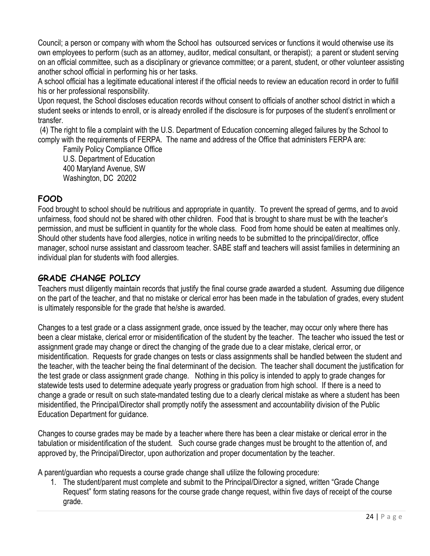Council; a person or company with whom the School has outsourced services or functions it would otherwise use its own employees to perform (such as an attorney, auditor, medical consultant, or therapist); a parent or student serving on an official committee, such as a disciplinary or grievance committee; or a parent, student, or other volunteer assisting another school official in performing his or her tasks.

A school official has a legitimate educational interest if the official needs to review an education record in order to fulfill his or her professional responsibility.

Upon request, the School discloses education records without consent to officials of another school district in which a student seeks or intends to enroll, or is already enrolled if the disclosure is for purposes of the student's enrollment or transfer.

(4) The right to file a complaint with the U.S. Department of Education concerning alleged failures by the School to comply with the requirements of FERPA. The name and address of the Office that administers FERPA are:

Family Policy Compliance Office U.S. Department of Education 400 Maryland Avenue, SW Washington, DC 20202

# **FOOD**

Food brought to school should be nutritious and appropriate in quantity. To prevent the spread of germs, and to avoid unfairness, food should not be shared with other children. Food that is brought to share must be with the teacher's permission, and must be sufficient in quantity for the whole class. Food from home should be eaten at mealtimes only. Should other students have food allergies, notice in writing needs to be submitted to the principal/director, office manager, school nurse assistant and classroom teacher. SABE staff and teachers will assist families in determining an individual plan for students with food allergies.

# **GRADE CHANGE POLICY**

Teachers must diligently maintain records that justify the final course grade awarded a student. Assuming due diligence on the part of the teacher, and that no mistake or clerical error has been made in the tabulation of grades, every student is ultimately responsible for the grade that he/she is awarded.

Changes to a test grade or a class assignment grade, once issued by the teacher, may occur only where there has been a clear mistake, clerical error or misidentification of the student by the teacher. The teacher who issued the test or assignment grade may change or direct the changing of the grade due to a clear mistake, clerical error, or misidentification. Requests for grade changes on tests or class assignments shall be handled between the student and the teacher, with the teacher being the final determinant of the decision. The teacher shall document the justification for the test grade or class assignment grade change. Nothing in this policy is intended to apply to grade changes for statewide tests used to determine adequate yearly progress or graduation from high school. If there is a need to change a grade or result on such state-mandated testing due to a clearly clerical mistake as where a student has been misidentified, the Principal/Director shall promptly notify the assessment and accountability division of the Public Education Department for guidance.

Changes to course grades may be made by a teacher where there has been a clear mistake or clerical error in the tabulation or misidentification of the student. Such course grade changes must be brought to the attention of, and approved by, the Principal/Director, upon authorization and proper documentation by the teacher.

A parent/guardian who requests a course grade change shall utilize the following procedure:

1. The student/parent must complete and submit to the Principal/Director a signed, written "Grade Change Request" form stating reasons for the course grade change request, within five days of receipt of the course grade.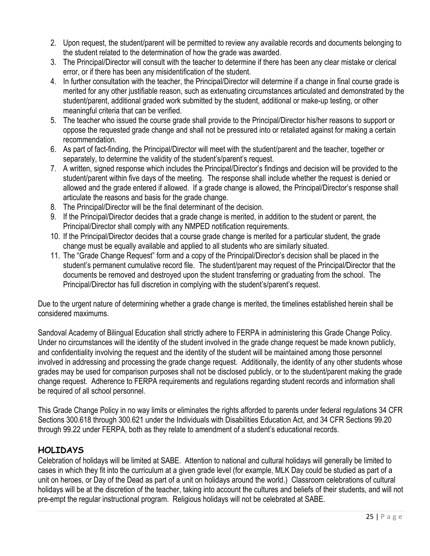- 2. Upon request, the student/parent will be permitted to review any available records and documents belonging to the student related to the determination of how the grade was awarded.
- 3. The Principal/Director will consult with the teacher to determine if there has been any clear mistake or clerical error, or if there has been any misidentification of the student.
- 4. In further consultation with the teacher, the Principal/Director will determine if a change in final course grade is merited for any other justifiable reason, such as extenuating circumstances articulated and demonstrated by the student/parent, additional graded work submitted by the student, additional or make-up testing, or other meaningful criteria that can be verified.
- 5. The teacher who issued the course grade shall provide to the Principal/Director his/her reasons to support or oppose the requested grade change and shall not be pressured into or retaliated against for making a certain recommendation.
- 6. As part of fact-finding, the Principal/Director will meet with the student/parent and the teacher, together or separately, to determine the validity of the student's/parent's request.
- 7. A written, signed response which includes the Principal/Director's findings and decision will be provided to the student/parent within five days of the meeting. The response shall include whether the request is denied or allowed and the grade entered if allowed. If a grade change is allowed, the Principal/Director's response shall articulate the reasons and basis for the grade change.
- 8. The Principal/Director will be the final determinant of the decision.
- 9. If the Principal/Director decides that a grade change is merited, in addition to the student or parent, the Principal/Director shall comply with any NMPED notification requirements.
- 10. If the Principal/Director decides that a course grade change is merited for a particular student, the grade change must be equally available and applied to all students who are similarly situated.
- 11. The "Grade Change Request" form and a copy of the Principal/Director's decision shall be placed in the student's permanent cumulative record file. The student/parent may request of the Principal/Director that the documents be removed and destroyed upon the student transferring or graduating from the school. The Principal/Director has full discretion in complying with the student's/parent's request.

Due to the urgent nature of determining whether a grade change is merited, the timelines established herein shall be considered maximums.

Sandoval Academy of Bilingual Education shall strictly adhere to FERPA in administering this Grade Change Policy. Under no circumstances will the identity of the student involved in the grade change request be made known publicly, and confidentiality involving the request and the identity of the student will be maintained among those personnel involved in addressing and processing the grade change request. Additionally, the identity of any other students whose grades may be used for comparison purposes shall not be disclosed publicly, or to the student/parent making the grade change request. Adherence to FERPA requirements and regulations regarding student records and information shall be required of all school personnel.

This Grade Change Policy in no way limits or eliminates the rights afforded to parents under federal regulations 34 CFR Sections 300.618 through 300.621 under the Individuals with Disabilities Education Act, and 34 CFR Sections 99.20 through 99.22 under FERPA, both as they relate to amendment of a student's educational records.

# **HOLIDAYS**

Celebration of holidays will be limited at SABE. Attention to national and cultural holidays will generally be limited to cases in which they fit into the curriculum at a given grade level (for example, MLK Day could be studied as part of a unit on heroes, or Day of the Dead as part of a unit on holidays around the world.) Classroom celebrations of cultural holidays will be at the discretion of the teacher, taking into account the cultures and beliefs of their students, and will not pre-empt the regular instructional program. Religious holidays will not be celebrated at SABE.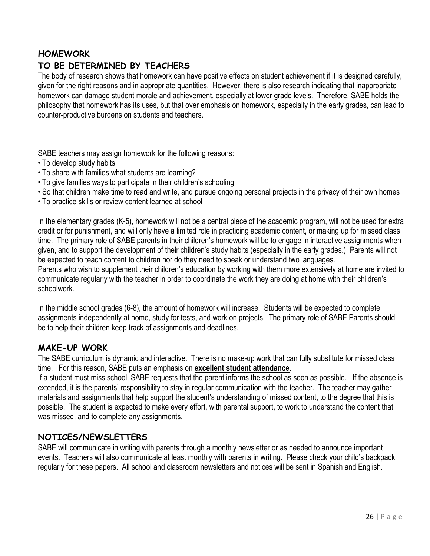## **HOMEWORK**

# **TO BE DETERMINED BY TEACHERS**

The body of research shows that homework can have positive effects on student achievement if it is designed carefully, given for the right reasons and in appropriate quantities. However, there is also research indicating that inappropriate homework can damage student morale and achievement, especially at lower grade levels. Therefore, SABE holds the philosophy that homework has its uses, but that over emphasis on homework, especially in the early grades, can lead to counter-productive burdens on students and teachers.

SABE teachers may assign homework for the following reasons:

- To develop study habits
- To share with families what students are learning?
- To give families ways to participate in their children's schooling
- So that children make time to read and write, and pursue ongoing personal projects in the privacy of their own homes
- To practice skills or review content learned at school

In the elementary grades (K-5), homework will not be a central piece of the academic program, will not be used for extra credit or for punishment, and will only have a limited role in practicing academic content, or making up for missed class time. The primary role of SABE parents in their children's homework will be to engage in interactive assignments when given, and to support the development of their children's study habits (especially in the early grades.) Parents will not be expected to teach content to children nor do they need to speak or understand two languages.

Parents who wish to supplement their children's education by working with them more extensively at home are invited to communicate regularly with the teacher in order to coordinate the work they are doing at home with their children's schoolwork.

In the middle school grades (6-8), the amount of homework will increase. Students will be expected to complete assignments independently at home, study for tests, and work on projects. The primary role of SABE Parents should be to help their children keep track of assignments and deadlines.

## **MAKE-UP WORK**

The SABE curriculum is dynamic and interactive. There is no make-up work that can fully substitute for missed class time. For this reason, SABE puts an emphasis on **excellent student attendance**.

If a student must miss school, SABE requests that the parent informs the school as soon as possible. If the absence is extended, it is the parents' responsibility to stay in regular communication with the teacher. The teacher may gather materials and assignments that help support the student's understanding of missed content, to the degree that this is possible. The student is expected to make every effort, with parental support, to work to understand the content that was missed, and to complete any assignments.

## **NOTICES/NEWSLETTERS**

SABE will communicate in writing with parents through a monthly newsletter or as needed to announce important events. Teachers will also communicate at least monthly with parents in writing. Please check your child's backpack regularly for these papers. All school and classroom newsletters and notices will be sent in Spanish and English.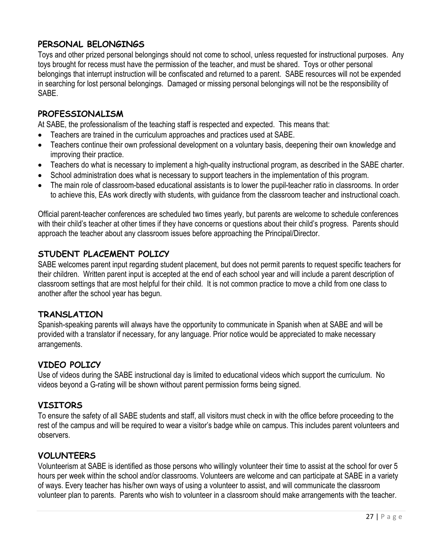# **PERSONAL BELONGINGS**

Toys and other prized personal belongings should not come to school, unless requested for instructional purposes. Any toys brought for recess must have the permission of the teacher, and must be shared. Toys or other personal belongings that interrupt instruction will be confiscated and returned to a parent. SABE resources will not be expended in searching for lost personal belongings. Damaged or missing personal belongings will not be the responsibility of SABE.

## **PROFESSIONALISM**

At SABE, the professionalism of the teaching staff is respected and expected. This means that:

- Teachers are trained in the curriculum approaches and practices used at SABE.
- Teachers continue their own professional development on a voluntary basis, deepening their own knowledge and improving their practice.
- Teachers do what is necessary to implement a high-quality instructional program, as described in the SABE charter.
- School administration does what is necessary to support teachers in the implementation of this program.
- The main role of classroom-based educational assistants is to lower the pupil-teacher ratio in classrooms. In order to achieve this, EAs work directly with students, with guidance from the classroom teacher and instructional coach.

Official parent-teacher conferences are scheduled two times yearly, but parents are welcome to schedule conferences with their child's teacher at other times if they have concerns or questions about their child's progress. Parents should approach the teacher about any classroom issues before approaching the Principal/Director.

## **STUDENT PLACEMENT POLICY**

SABE welcomes parent input regarding student placement, but does not permit parents to request specific teachers for their children. Written parent input is accepted at the end of each school year and will include a parent description of classroom settings that are most helpful for their child. It is not common practice to move a child from one class to another after the school year has begun.

#### **TRANSLATION**

Spanish-speaking parents will always have the opportunity to communicate in Spanish when at SABE and will be provided with a translator if necessary, for any language. Prior notice would be appreciated to make necessary arrangements.

## **VIDEO POLICY**

Use of videos during the SABE instructional day is limited to educational videos which support the curriculum. No videos beyond a G-rating will be shown without parent permission forms being signed.

#### **VISITORS**

To ensure the safety of all SABE students and staff, all visitors must check in with the office before proceeding to the rest of the campus and will be required to wear a visitor's badge while on campus. This includes parent volunteers and observers.

## **VOLUNTEERS**

Volunteerism at SABE is identified as those persons who willingly volunteer their time to assist at the school for over 5 hours per week within the school and/or classrooms. Volunteers are welcome and can participate at SABE in a variety of ways. Every teacher has his/her own ways of using a volunteer to assist, and will communicate the classroom volunteer plan to parents. Parents who wish to volunteer in a classroom should make arrangements with the teacher.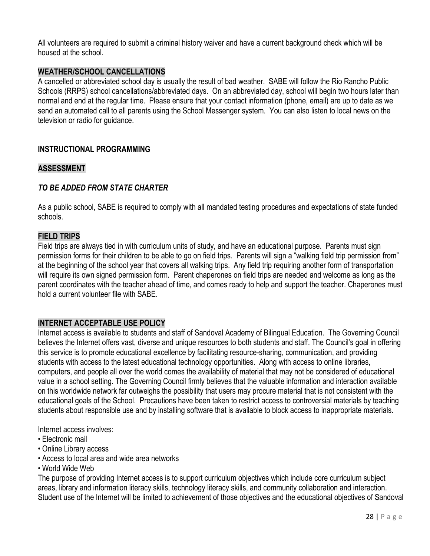All volunteers are required to submit a criminal history waiver and have a current background check which will be housed at the school.

#### **WEATHER/SCHOOL CANCELLATIONS**

A cancelled or abbreviated school day is usually the result of bad weather. SABE will follow the Rio Rancho Public Schools (RRPS) school cancellations/abbreviated days. On an abbreviated day, school will begin two hours later than normal and end at the regular time. Please ensure that your contact information (phone, email) are up to date as we send an automated call to all parents using the School Messenger system. You can also listen to local news on the television or radio for quidance.

#### **INSTRUCTIONAL PROGRAMMING**

#### **ASSESSMENT**

#### *TO BE ADDED FROM STATE CHARTER*

As a public school, SABE is required to comply with all mandated testing procedures and expectations of state funded schools.

#### **FIELD TRIPS**

Field trips are always tied in with curriculum units of study, and have an educational purpose. Parents must sign permission forms for their children to be able to go on field trips. Parents will sign a "walking field trip permission from" at the beginning of the school year that covers all walking trips. Any field trip requiring another form of transportation will require its own signed permission form. Parent chaperones on field trips are needed and welcome as long as the parent coordinates with the teacher ahead of time, and comes ready to help and support the teacher. Chaperones must hold a current volunteer file with SABE.

#### **INTERNET ACCEPTABLE USE POLICY**

Internet access is available to students and staff of Sandoval Academy of Bilingual Education. The Governing Council believes the Internet offers vast, diverse and unique resources to both students and staff. The Council's goal in offering this service is to promote educational excellence by facilitating resource-sharing, communication, and providing students with access to the latest educational technology opportunities. Along with access to online libraries, computers, and people all over the world comes the availability of material that may not be considered of educational value in a school setting. The Governing Council firmly believes that the valuable information and interaction available on this worldwide network far outweighs the possibility that users may procure material that is not consistent with the educational goals of the School. Precautions have been taken to restrict access to controversial materials by teaching students about responsible use and by installing software that is available to block access to inappropriate materials.

Internet access involves:

- Electronic mail
- Online Library access
- Access to local area and wide area networks
- World Wide Web

The purpose of providing Internet access is to support curriculum objectives which include core curriculum subject areas, library and information literacy skills, technology literacy skills, and community collaboration and interaction. Student use of the Internet will be limited to achievement of those objectives and the educational objectives of Sandoval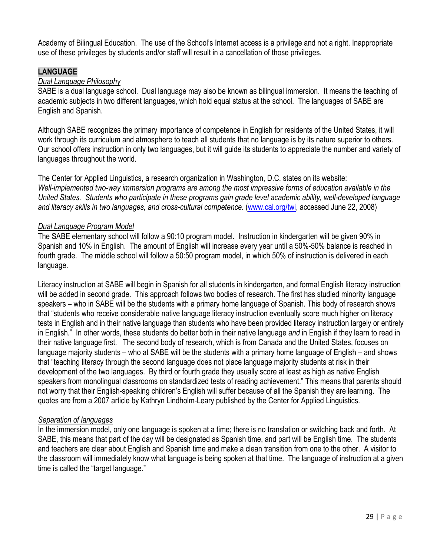Academy of Bilingual Education. The use of the School's Internet access is a privilege and not a right. Inappropriate use of these privileges by students and/or staff will result in a cancellation of those privileges.

## **LANGUAGE**

#### *Dual Language Philosophy*

SABE is a dual language school. Dual language may also be known as bilingual immersion. It means the teaching of academic subjects in two different languages, which hold equal status at the school. The languages of SABE are English and Spanish.

Although SABE recognizes the primary importance of competence in English for residents of the United States, it will work through its curriculum and atmosphere to teach all students that no language is by its nature superior to others. Our school offers instruction in only two languages, but it will guide its students to appreciate the number and variety of languages throughout the world.

The Center for Applied Linguistics, a research organization in Washington, D.C, states on its website: *Well-implemented two-way immersion programs are among the most impressive forms of education available in the United States. Students who participate in these programs gain grade level academic ability, well-developed language and literacy skills in two languages, and cross-cultural competence.* [\(www.cal.org/twi,](http://www.cal.org/twi) accessed June 22, 2008)

#### *Dual Language Program Model*

The SABE elementary school will follow a 90:10 program model. Instruction in kindergarten will be given 90% in Spanish and 10% in English. The amount of English will increase every year until a 50%-50% balance is reached in fourth grade. The middle school will follow a 50:50 program model, in which 50% of instruction is delivered in each language.

Literacy instruction at SABE will begin in Spanish for all students in kindergarten, and formal English literacy instruction will be added in second grade. This approach follows two bodies of research. The first has studied minority language speakers – who in SABE will be the students with a primary home language of Spanish. This body of research shows that "students who receive considerable native language literacy instruction eventually score much higher on literacy tests in English and in their native language than students who have been provided literacy instruction largely or entirely in English." In other words, these students do better both in their native language *and* in English if they learn to read in their native language first. The second body of research, which is from Canada and the United States, focuses on language majority students – who at SABE will be the students with a primary home language of English – and shows that "teaching literacy through the second language does not place language majority students at risk in their development of the two languages. By third or fourth grade they usually score at least as high as native English speakers from monolingual classrooms on standardized tests of reading achievement." This means that parents should not worry that their English-speaking children's English will suffer because of all the Spanish they are learning. The quotes are from a 2007 article by Kathryn Lindholm-Leary published by the Center for Applied Linguistics.

#### *Separation of languages*

In the immersion model, only one language is spoken at a time; there is no translation or switching back and forth. At SABE, this means that part of the day will be designated as Spanish time, and part will be English time. The students and teachers are clear about English and Spanish time and make a clean transition from one to the other. A visitor to the classroom will immediately know what language is being spoken at that time. The language of instruction at a given time is called the "target language."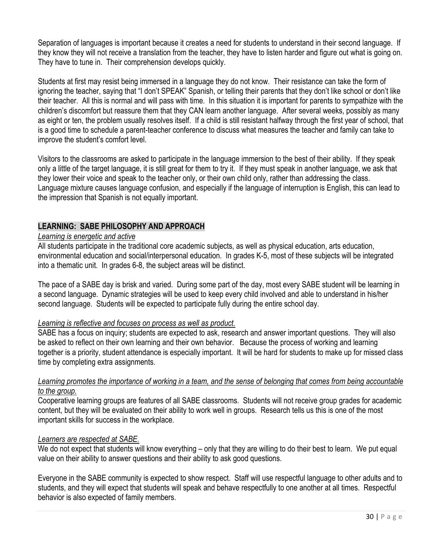Separation of languages is important because it creates a need for students to understand in their second language. If they know they will not receive a translation from the teacher, they have to listen harder and figure out what is going on. They have to tune in. Their comprehension develops quickly.

Students at first may resist being immersed in a language they do not know. Their resistance can take the form of ignoring the teacher, saying that "I don't SPEAK" Spanish, or telling their parents that they don't like school or don't like their teacher. All this is normal and will pass with time. In this situation it is important for parents to sympathize with the children's discomfort but reassure them that they CAN learn another language. After several weeks, possibly as many as eight or ten, the problem usually resolves itself. If a child is still resistant halfway through the first year of school, that is a good time to schedule a parent-teacher conference to discuss what measures the teacher and family can take to improve the student's comfort level.

Visitors to the classrooms are asked to participate in the language immersion to the best of their ability. If they speak only a little of the target language, it is still great for them to try it. If they must speak in another language, we ask that they lower their voice and speak to the teacher only, or their own child only, rather than addressing the class. Language mixture causes language confusion, and especially if the language of interruption is English, this can lead to the impression that Spanish is not equally important.

#### **LEARNING: SABE PHILOSOPHY AND APPROACH**

#### *Learning is energetic and active*

All students participate in the traditional core academic subjects, as well as physical education, arts education, environmental education and social/interpersonal education. In grades K-5, most of these subjects will be integrated into a thematic unit. In grades 6-8, the subject areas will be distinct.

The pace of a SABE day is brisk and varied. During some part of the day, most every SABE student will be learning in a second language. Dynamic strategies will be used to keep every child involved and able to understand in his/her second language. Students will be expected to participate fully during the entire school day.

#### *Learning is reflective and focuses on process as well as product.*

SABE has a focus on inquiry; students are expected to ask, research and answer important questions. They will also be asked to reflect on their own learning and their own behavior. Because the process of working and learning together is a priority, student attendance is especially important. It will be hard for students to make up for missed class time by completing extra assignments.

#### Learning promotes the importance of working in a team, and the sense of belonging that comes from being accountable *to the group.*

Cooperative learning groups are features of all SABE classrooms. Students will not receive group grades for academic content, but they will be evaluated on their ability to work well in groups. Research tells us this is one of the most important skills for success in the workplace.

#### *Learners are respected at SABE.*

We do not expect that students will know everything – only that they are willing to do their best to learn. We put equal value on their ability to answer questions and their ability to ask good questions.

Everyone in the SABE community is expected to show respect. Staff will use respectful language to other adults and to students, and they will expect that students will speak and behave respectfully to one another at all times. Respectful behavior is also expected of family members.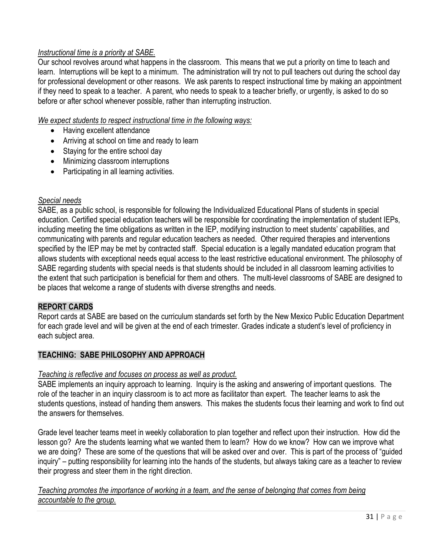## *Instructional time is a priority at SABE.*

Our school revolves around what happens in the classroom. This means that we put a priority on time to teach and learn. Interruptions will be kept to a minimum. The administration will try not to pull teachers out during the school day for professional development or other reasons. We ask parents to respect instructional time by making an appointment if they need to speak to a teacher. A parent, who needs to speak to a teacher briefly, or urgently, is asked to do so before or after school whenever possible, rather than interrupting instruction.

#### *We expect students to respect instructional time in the following ways:*

- Having excellent attendance
- Arriving at school on time and ready to learn
- Staying for the entire school day
- Minimizing classroom interruptions
- Participating in all learning activities.

#### *Special needs*

SABE, as a public school, is responsible for following the Individualized Educational Plans of students in special education. Certified special education teachers will be responsible for coordinating the implementation of student IEPs, including meeting the time obligations as written in the IEP, modifying instruction to meet students' capabilities, and communicating with parents and regular education teachers as needed. Other required therapies and interventions specified by the IEP may be met by contracted staff. Special education is a legally mandated education program that allows students with exceptional needs equal access to the least restrictive educational environment. The philosophy of SABE regarding students with special needs is that students should be included in all classroom learning activities to the extent that such participation is beneficial for them and others. The multi-level classrooms of SABE are designed to be places that welcome a range of students with diverse strengths and needs.

#### **REPORT CARDS**

Report cards at SABE are based on the curriculum standards set forth by the New Mexico Public Education Department for each grade level and will be given at the end of each trimester. Grades indicate a student's level of proficiency in each subject area.

#### **TEACHING: SABE PHILOSOPHY AND APPROACH**

#### *Teaching is reflective and focuses on process as well as product.*

SABE implements an inquiry approach to learning. Inquiry is the asking and answering of important questions. The role of the teacher in an inquiry classroom is to act more as facilitator than expert. The teacher learns to ask the students questions, instead of handing them answers. This makes the students focus their learning and work to find out the answers for themselves.

Grade level teacher teams meet in weekly collaboration to plan together and reflect upon their instruction. How did the lesson go? Are the students learning what we wanted them to learn? How do we know? How can we improve what we are doing? These are some of the questions that will be asked over and over. This is part of the process of "guided inquiry" – putting responsibility for learning into the hands of the students, but always taking care as a teacher to review their progress and steer them in the right direction.

*Teaching promotes the importance of working in a team, and the sense of belonging that comes from being accountable to the group.*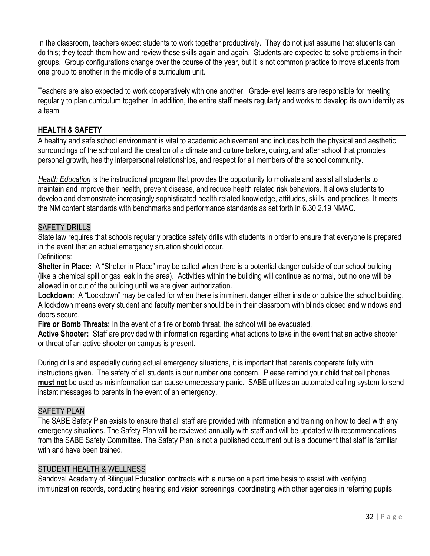In the classroom, teachers expect students to work together productively. They do not just assume that students can do this; they teach them how and review these skills again and again. Students are expected to solve problems in their groups. Group configurations change over the course of the year, but it is not common practice to move students from one group to another in the middle of a curriculum unit.

Teachers are also expected to work cooperatively with one another. Grade-level teams are responsible for meeting regularly to plan curriculum together. In addition, the entire staff meets regularly and works to develop its own identity as a team.

#### **HEALTH & SAFETY**

A healthy and safe school environment is vital to academic achievement and includes both the physical and aesthetic surroundings of the school and the creation of a climate and culture before, during, and after school that promotes personal growth, healthy interpersonal relationships, and respect for all members of the school community.

*Health Education* is the instructional program that provides the opportunity to motivate and assist all students to maintain and improve their health, prevent disease, and reduce health related risk behaviors. It allows students to develop and demonstrate increasingly sophisticated health related knowledge, attitudes, skills, and practices. It meets the NM content standards with benchmarks and performance standards as set forth in 6.30.2.19 NMAC.

#### SAFETY DRILLS

State law requires that schools regularly practice safety drills with students in order to ensure that everyone is prepared in the event that an actual emergency situation should occur.

#### Definitions:

**Shelter in Place:** A "Shelter in Place" may be called when there is a potential danger outside of our school building (like a chemical spill or gas leak in the area). Activities within the building will continue as normal, but no one will be allowed in or out of the building until we are given authorization.

**Lockdown:** A "Lockdown" may be called for when there is imminent danger either inside or outside the school building. A lockdown means every student and faculty member should be in their classroom with blinds closed and windows and doors secure.

**Fire or Bomb Threats:** In the event of a fire or bomb threat, the school will be evacuated.

**Active Shooter:** Staff are provided with information regarding what actions to take in the event that an active shooter or threat of an active shooter on campus is present.

During drills and especially during actual emergency situations, it is important that parents cooperate fully with instructions given. The safety of all students is our number one concern. Please remind your child that cell phones **must not** be used as misinformation can cause unnecessary panic. SABE utilizes an automated calling system to send instant messages to parents in the event of an emergency.

#### SAFETY PLAN

The SABE Safety Plan exists to ensure that all staff are provided with information and training on how to deal with any emergency situations. The Safety Plan will be reviewed annually with staff and will be updated with recommendations from the SABE Safety Committee. The Safety Plan is not a published document but is a document that staff is familiar with and have been trained.

#### STUDENT HEALTH & WELLNESS

Sandoval Academy of Bilingual Education contracts with a nurse on a part time basis to assist with verifying immunization records, conducting hearing and vision screenings, coordinating with other agencies in referring pupils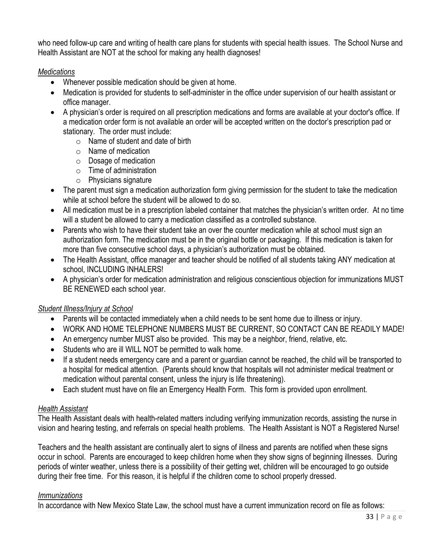who need follow-up care and writing of health care plans for students with special health issues. The School Nurse and Health Assistant are NOT at the school for making any health diagnoses!

## *Medications*

- Whenever possible medication should be given at home.
- Medication is provided for students to self-administer in the office under supervision of our health assistant or office manager.
- A physician's order is required on all prescription medications and forms are available at your doctor's office. If a medication order form is not available an order will be accepted written on the doctor's prescription pad or stationary. The order must include:
	- $\circ$  Name of student and date of birth
	- $\circ$  Name of medication
	- o Dosage of medication
	- o Time of administration
	- o Physicians signature
- The parent must sign a medication authorization form giving permission for the student to take the medication while at school before the student will be allowed to do so.
- All medication must be in a prescription labeled container that matches the physician's written order. At no time will a student be allowed to carry a medication classified as a controlled substance.
- Parents who wish to have their student take an over the counter medication while at school must sign an authorization form. The medication must be in the original bottle or packaging. If this medication is taken for more than five consecutive school days, a physician's authorization must be obtained.
- The Health Assistant, office manager and teacher should be notified of all students taking ANY medication at school, INCLUDING INHALERS!
- A physician's order for medication administration and religious conscientious objection for immunizations MUST BE RENEWED each school year.

## *Student Illness/Injury at School*

- Parents will be contacted immediately when a child needs to be sent home due to illness or injury.
- WORK AND HOME TELEPHONE NUMBERS MUST BE CURRENT, SO CONTACT CAN BE READILY MADE!
- An emergency number MUST also be provided. This may be a neighbor, friend, relative, etc.
- Students who are ill WILL NOT be permitted to walk home.
- If a student needs emergency care and a parent or guardian cannot be reached, the child will be transported to a hospital for medical attention. (Parents should know that hospitals will not administer medical treatment or medication without parental consent, unless the injury is life threatening).
- Each student must have on file an Emergency Health Form. This form is provided upon enrollment.

#### *Health Assistant*

The Health Assistant deals with health-related matters including verifying immunization records, assisting the nurse in vision and hearing testing, and referrals on special health problems. The Health Assistant is NOT a Registered Nurse!

Teachers and the health assistant are continually alert to signs of illness and parents are notified when these signs occur in school. Parents are encouraged to keep children home when they show signs of beginning illnesses. During periods of winter weather, unless there is a possibility of their getting wet, children will be encouraged to go outside during their free time. For this reason, it is helpful if the children come to school properly dressed.

#### *Immunizations*

In accordance with New Mexico State Law, the school must have a current immunization record on file as follows: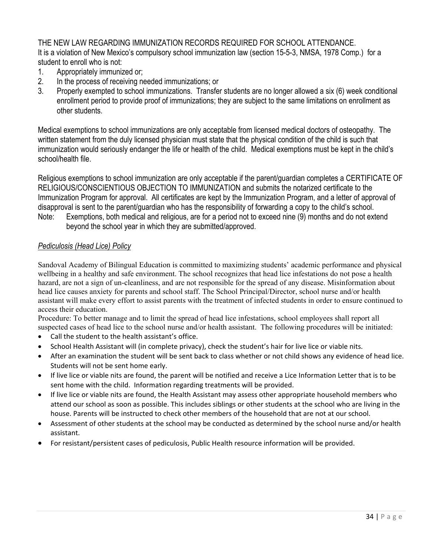THE NEW LAW REGARDING IMMUNIZATION RECORDS REQUIRED FOR SCHOOL ATTENDANCE. It is a violation of New Mexico's compulsory school immunization law (section 15-5-3, NMSA, 1978 Comp.) for a student to enroll who is not:

- 1. Appropriately immunized or;
- 2. In the process of receiving needed immunizations; or
- 3. Properly exempted to school immunizations. Transfer students are no longer allowed a six (6) week conditional enrollment period to provide proof of immunizations; they are subject to the same limitations on enrollment as other students.

Medical exemptions to school immunizations are only acceptable from licensed medical doctors of osteopathy. The written statement from the duly licensed physician must state that the physical condition of the child is such that immunization would seriously endanger the life or health of the child. Medical exemptions must be kept in the child's school/health file.

Religious exemptions to school immunization are only acceptable if the parent/guardian completes a CERTIFICATE OF RELIGIOUS/CONSCIENTIOUS OBJECTION TO IMMUNIZATION and submits the notarized certificate to the Immunization Program for approval. All certificates are kept by the Immunization Program, and a letter of approval of disapproval is sent to the parent/guardian who has the responsibility of forwarding a copy to the child's school. Note: Exemptions, both medical and religious, are for a period not to exceed nine (9) months and do not extend

beyond the school year in which they are submitted/approved.

#### *Pediculosis (Head Lice) Policy*

Sandoval Academy of Bilingual Education is committed to maximizing students' academic performance and physical wellbeing in a healthy and safe environment. The school recognizes that head lice infestations do not pose a health hazard, are not a sign of un-cleanliness, and are not responsible for the spread of any disease. Misinformation about head lice causes anxiety for parents and school staff. The School Principal/Director, school nurse and/or health assistant will make every effort to assist parents with the treatment of infected students in order to ensure continued to access their education.

Procedure: To better manage and to limit the spread of head lice infestations, school employees shall report all suspected cases of head lice to the school nurse and/or health assistant. The following procedures will be initiated:

- Call the student to the health assistant's office.
- School Health Assistant will (in complete privacy), check the student's hair for live lice or viable nits.
- After an examination the student will be sent back to class whether or not child shows any evidence of head lice. Students will not be sent home early.
- If live lice or viable nits are found, the parent will be notified and receive a Lice Information Letter that is to be sent home with the child. Information regarding treatments will be provided.
- If live lice or viable nits are found, the Health Assistant may assess other appropriate household members who attend our school as soon as possible. This includes siblings or other students at the school who are living in the house. Parents will be instructed to check other members of the household that are not at our school.
- Assessment of other students at the school may be conducted as determined by the school nurse and/or health assistant.
- For resistant/persistent cases of pediculosis, Public Health resource information will be provided.